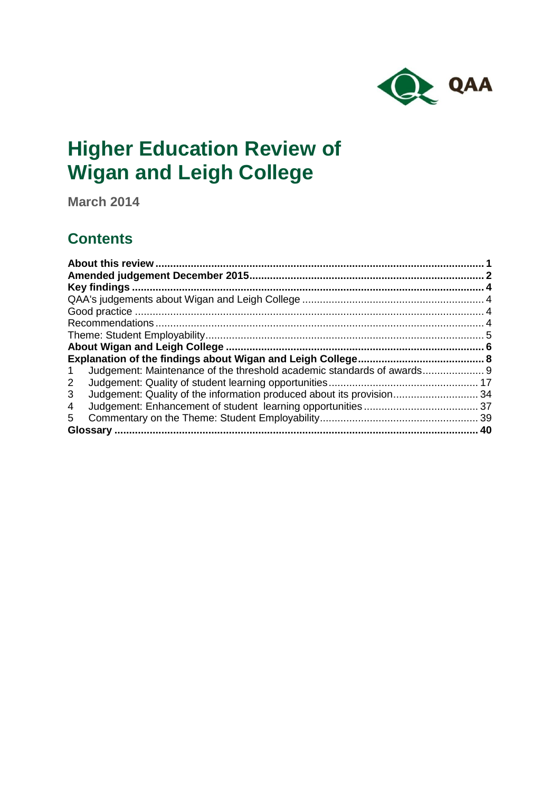

# **Higher Education Review of Wigan and Leigh College**

**March 2014**

## **Contents**

| Judgement: Maintenance of the threshold academic standards of awards 9<br>1 |  |
|-----------------------------------------------------------------------------|--|
| 2                                                                           |  |
| Judgement: Quality of the information produced about its provision 34<br>3  |  |
| 4                                                                           |  |
| 5                                                                           |  |
| . 40                                                                        |  |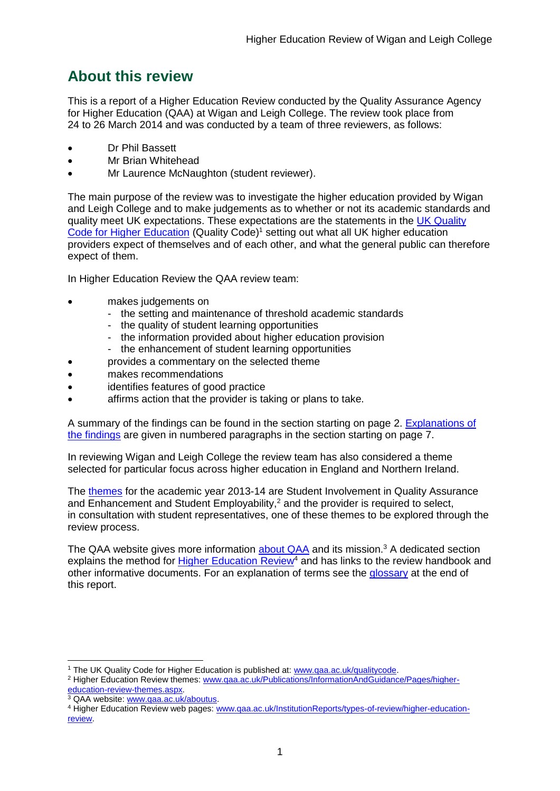## <span id="page-1-0"></span>**About this review**

This is a report of a Higher Education Review conducted by the Quality Assurance Agency for Higher Education (QAA) at Wigan and Leigh College. The review took place from 24 to 26 March 2014 and was conducted by a team of three reviewers, as follows:

- Dr Phil Bassett
- Mr Brian Whitehead
- Mr Laurence McNaughton (student reviewer).

The main purpose of the review was to investigate the higher education provided by Wigan and Leigh College and to make judgements as to whether or not its academic standards and quality meet UK expectations. These expectations are the statements in the UK Quality [Code for Higher Education](http://www.qaa.ac.uk/AssuringStandardsAndQuality/quality-code/Pages/default.aspx) (Quality Code)<sup>1</sup> setting out what all UK higher education [providers](http://newlive.qaa.ac.uk/AboutUs/glossary/Pages/glossary-h.aspx#h2.1) expect of themselves and of each other, and what the general public can therefore expect of them.

In Higher Education Review the QAA review team:

- makes judgements on
	- the setting and maintenance of threshold academic standards
	- the quality of student learning opportunities
	- the information provided about higher education provision
	- the enhancement of student learning opportunities
	- provides a commentary on the selected theme
- makes recommendations
- identifies features of good practice
- affirms action that the provider is taking or plans to take.

A summary of the findings can be found in the section starting on page 2. [Explanations of](#page-8-0)  [the findings](#page-8-0) are given in numbered paragraphs in the section starting on page 7.

In reviewing Wigan and Leigh College the review team has also considered a theme selected for particular focus across higher education in England and Northern Ireland.

The [themes](http://www.qaa.ac.uk/Publications/InformationAndGuidance/Pages/higher-education-review-themes.aspx) for the academic year 2013-14 are Student Involvement in Quality Assurance and Enhancement and Student Employability,<sup>2</sup> and the provider is required to select, in consultation with student representatives, one of these themes to be explored through the review process.

The QAA website gives more information [about QAA](http://www.qaa.ac.uk/aboutus/pages/default.aspx) and its mission.<sup>3</sup> A dedicated section explains the method for [Higher Education](http://www.qaa.ac.uk/InstitutionReports/types-of-review/Pages/IRENI.aspx) Review<sup>4</sup> and has links to the review handbook and other informative documents. For an explanation of terms see the [glossary](#page-40-0) at the end of this report.

-<sup>1</sup> The UK Quality Code for Higher Education is published at: www.gaa.ac.uk/gualitycode.

<sup>&</sup>lt;sup>2</sup> Higher Education Review themes: [www.qaa.ac.uk/Publications/InformationAndGuidance/Pages/higher](http://www.qaa.ac.uk/Publications/InformationAndGuidance/Pages/higher-education-review-themes.aspx)[education-review-themes.aspx.](http://www.qaa.ac.uk/Publications/InformationAndGuidance/Pages/higher-education-review-themes.aspx)

<sup>&</sup>lt;sup>3</sup> QAA website: [www.qaa.ac.uk/aboutus.](http://www.qaa.ac.uk/aboutus/pages/default.aspx)

<sup>4</sup> Higher Education Review web pages: [www.qaa.ac.uk/InstitutionReports/types-of-review/higher-education](http://www.qaa.ac.uk/InstitutionReports/types-of-review/higher-education-review)[review.](http://www.qaa.ac.uk/InstitutionReports/types-of-review/higher-education-review)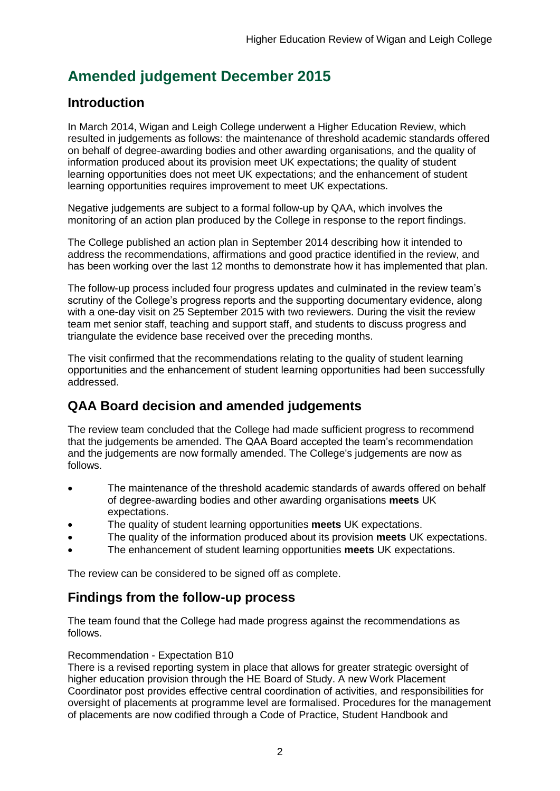## <span id="page-2-0"></span>**Amended judgement December 2015**

## **Introduction**

In March 2014, Wigan and Leigh College underwent a Higher Education Review, which resulted in judgements as follows: the maintenance of threshold academic standards offered on behalf of degree-awarding bodies and other awarding organisations, and the quality of information produced about its provision meet UK expectations; the quality of student learning opportunities does not meet UK expectations; and the enhancement of student learning opportunities requires improvement to meet UK expectations.

Negative judgements are subject to a formal follow-up by QAA, which involves the monitoring of an action plan produced by the College in response to the report findings.

The College published an action plan in September 2014 describing how it intended to address the recommendations, affirmations and good practice identified in the review, and has been working over the last 12 months to demonstrate how it has implemented that plan.

The follow-up process included four progress updates and culminated in the review team's scrutiny of the College's progress reports and the supporting documentary evidence, along with a one-day visit on 25 September 2015 with two reviewers. During the visit the review team met senior staff, teaching and support staff, and students to discuss progress and triangulate the evidence base received over the preceding months.

The visit confirmed that the recommendations relating to the quality of student learning opportunities and the enhancement of student learning opportunities had been successfully addressed.

## **QAA Board decision and amended judgements**

The review team concluded that the College had made sufficient progress to recommend that the judgements be amended. The QAA Board accepted the team's recommendation and the judgements are now formally amended. The College's judgements are now as follows.

- The maintenance of the threshold academic standards of awards offered on behalf of degree-awarding bodies and other awarding organisations **meets** UK expectations.
- The quality of student learning opportunities **meets** UK expectations.
- The quality of the information produced about its provision **meets** UK expectations.
- The enhancement of student learning opportunities **meets** UK expectations.

The review can be considered to be signed off as complete.

## **Findings from the follow-up process**

The team found that the College had made progress against the recommendations as follows.

### Recommendation - Expectation B10

There is a revised reporting system in place that allows for greater strategic oversight of higher education provision through the HE Board of Study. A new Work Placement Coordinator post provides effective central coordination of activities, and responsibilities for oversight of placements at programme level are formalised. Procedures for the management of placements are now codified through a Code of Practice, Student Handbook and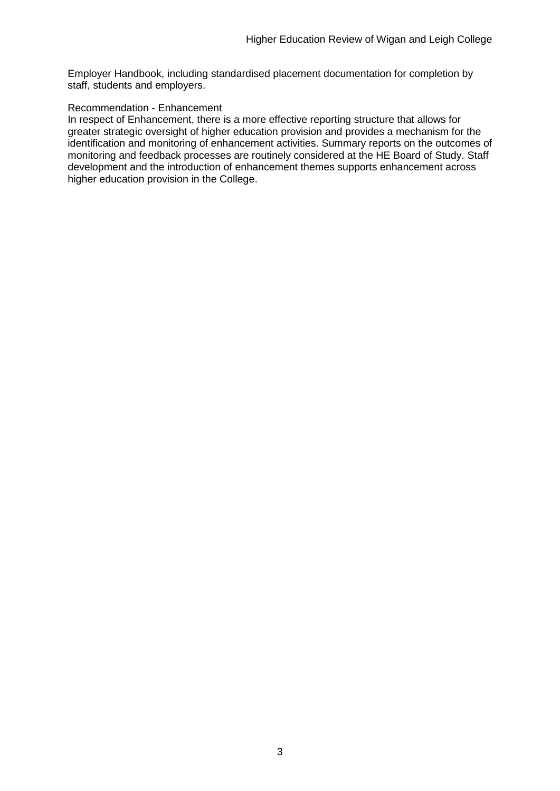Employer Handbook, including standardised placement documentation for completion by staff, students and employers.

#### Recommendation - Enhancement

In respect of Enhancement, there is a more effective reporting structure that allows for greater strategic oversight of higher education provision and provides a mechanism for the identification and monitoring of enhancement activities. Summary reports on the outcomes of monitoring and feedback processes are routinely considered at the HE Board of Study. Staff development and the introduction of enhancement themes supports enhancement across higher education provision in the College.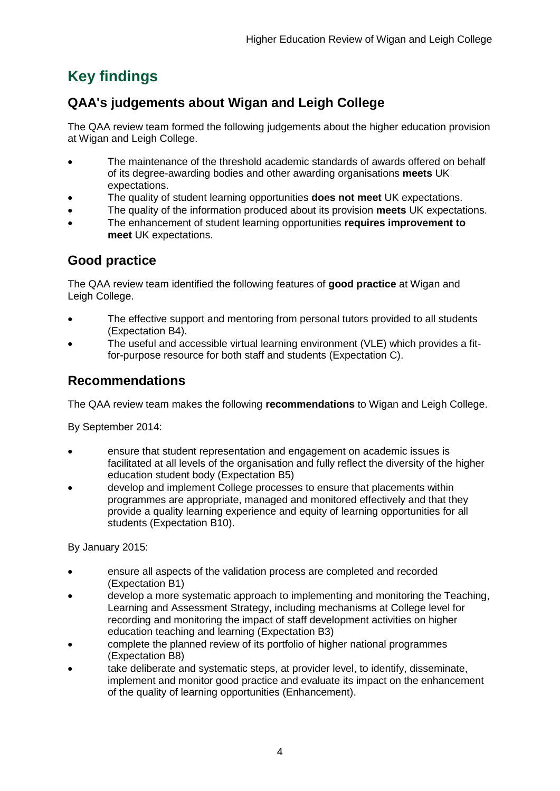## <span id="page-4-0"></span>**Key findings**

## <span id="page-4-1"></span>**QAA's judgements about Wigan and Leigh College**

The QAA review team formed the following judgements about the higher education provision at Wigan and Leigh College.

- The maintenance of the threshold academic standards of awards offered on behalf of its degree-awarding bodies and other awarding organisations **meets** UK expectations.
- The quality of student learning opportunities **does not meet** UK expectations.
- The quality of the information produced about its provision **meets** UK expectations.
- The enhancement of student learning opportunities **requires improvement to meet** UK expectations.

## <span id="page-4-2"></span>**Good practice**

The QAA review team identified the following features of **good practice** at Wigan and Leigh College.

- The effective support and mentoring from personal tutors provided to all students (Expectation B4).
- The useful and accessible virtual learning environment (VLE) which provides a fitfor-purpose resource for both staff and students (Expectation C).

## <span id="page-4-3"></span>**Recommendations**

The QAA review team makes the following **recommendations** to Wigan and Leigh College.

By September 2014:

- ensure that student representation and engagement on academic issues is facilitated at all levels of the organisation and fully reflect the diversity of the higher education student body (Expectation B5)
- develop and implement College processes to ensure that placements within programmes are appropriate, managed and monitored effectively and that they provide a quality learning experience and equity of learning opportunities for all students (Expectation B10).

By January 2015:

- ensure all aspects of the validation process are completed and recorded (Expectation B1)
- develop a more systematic approach to implementing and monitoring the Teaching, Learning and Assessment Strategy, including mechanisms at College level for recording and monitoring the impact of staff development activities on higher education teaching and learning (Expectation B3)
- complete the planned review of its portfolio of higher national programmes (Expectation B8)
- take deliberate and systematic steps, at provider level, to identify, disseminate, implement and monitor good practice and evaluate its impact on the enhancement of the quality of learning opportunities (Enhancement).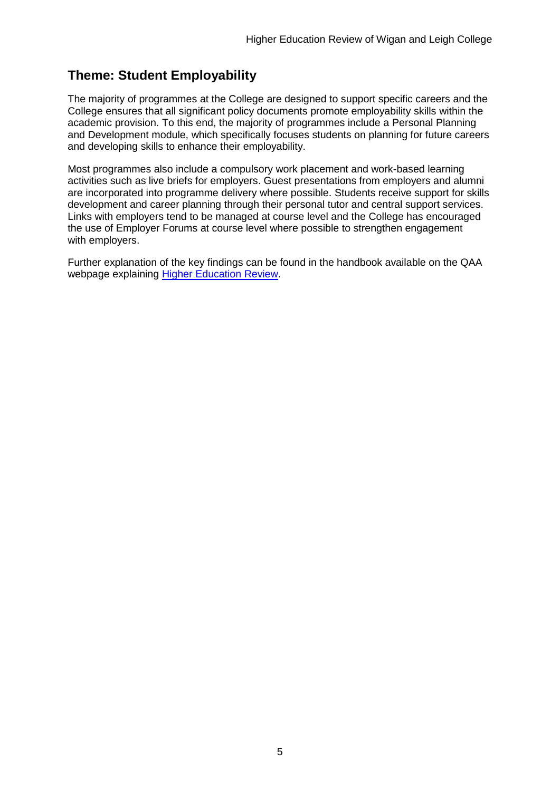## <span id="page-5-0"></span>**Theme: Student Employability**

The majority of programmes at the College are designed to support specific careers and the College ensures that all significant policy documents promote employability skills within the academic provision. To this end, the majority of programmes include a Personal Planning and Development module, which specifically focuses students on planning for future careers and developing skills to enhance their employability.

Most programmes also include a compulsory work placement and work-based learning activities such as live briefs for employers. Guest presentations from employers and alumni are incorporated into programme delivery where possible. Students receive support for skills development and career planning through their personal tutor and central support services. Links with employers tend to be managed at course level and the College has encouraged the use of Employer Forums at course level where possible to strengthen engagement with employers.

Further explanation of the key findings can be found in the handbook available on the QAA webpage explaining [Higher Education Review.](http://www.qaa.ac.uk/InstitutionReports/types-of-review/higher-education-review)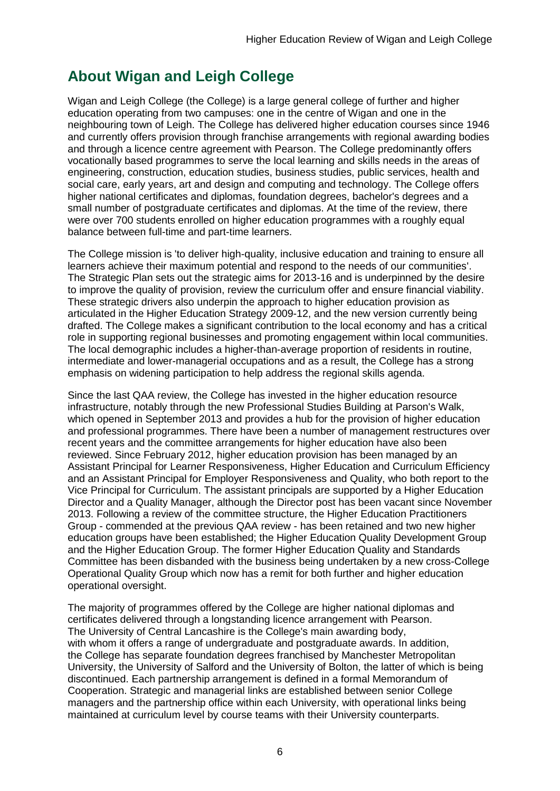## <span id="page-6-0"></span>**About Wigan and Leigh College**

Wigan and Leigh College (the College) is a large general college of further and higher education operating from two campuses: one in the centre of Wigan and one in the neighbouring town of Leigh. The College has delivered higher education courses since 1946 and currently offers provision through franchise arrangements with regional awarding bodies and through a licence centre agreement with Pearson. The College predominantly offers vocationally based programmes to serve the local learning and skills needs in the areas of engineering, construction, education studies, business studies, public services, health and social care, early years, art and design and computing and technology. The College offers higher national certificates and diplomas, foundation degrees, bachelor's degrees and a small number of postgraduate certificates and diplomas. At the time of the review, there were over 700 students enrolled on higher education programmes with a roughly equal balance between full-time and part-time learners.

The College mission is 'to deliver high-quality, inclusive education and training to ensure all learners achieve their maximum potential and respond to the needs of our communities'. The Strategic Plan sets out the strategic aims for 2013-16 and is underpinned by the desire to improve the quality of provision, review the curriculum offer and ensure financial viability. These strategic drivers also underpin the approach to higher education provision as articulated in the Higher Education Strategy 2009-12, and the new version currently being drafted. The College makes a significant contribution to the local economy and has a critical role in supporting regional businesses and promoting engagement within local communities. The local demographic includes a higher-than-average proportion of residents in routine, intermediate and lower-managerial occupations and as a result, the College has a strong emphasis on widening participation to help address the regional skills agenda.

Since the last QAA review, the College has invested in the higher education resource infrastructure, notably through the new Professional Studies Building at Parson's Walk, which opened in September 2013 and provides a hub for the provision of higher education and professional programmes. There have been a number of management restructures over recent years and the committee arrangements for higher education have also been reviewed. Since February 2012, higher education provision has been managed by an Assistant Principal for Learner Responsiveness, Higher Education and Curriculum Efficiency and an Assistant Principal for Employer Responsiveness and Quality, who both report to the Vice Principal for Curriculum. The assistant principals are supported by a Higher Education Director and a Quality Manager, although the Director post has been vacant since November 2013. Following a review of the committee structure, the Higher Education Practitioners Group - commended at the previous QAA review - has been retained and two new higher education groups have been established; the Higher Education Quality Development Group and the Higher Education Group. The former Higher Education Quality and Standards Committee has been disbanded with the business being undertaken by a new cross-College Operational Quality Group which now has a remit for both further and higher education operational oversight.

The majority of programmes offered by the College are higher national diplomas and certificates delivered through a longstanding licence arrangement with Pearson. The University of Central Lancashire is the College's main awarding body, with whom it offers a range of undergraduate and postgraduate awards. In addition, the College has separate foundation degrees franchised by Manchester Metropolitan University, the University of Salford and the University of Bolton, the latter of which is being discontinued. Each partnership arrangement is defined in a formal Memorandum of Cooperation. Strategic and managerial links are established between senior College managers and the partnership office within each University, with operational links being maintained at curriculum level by course teams with their University counterparts.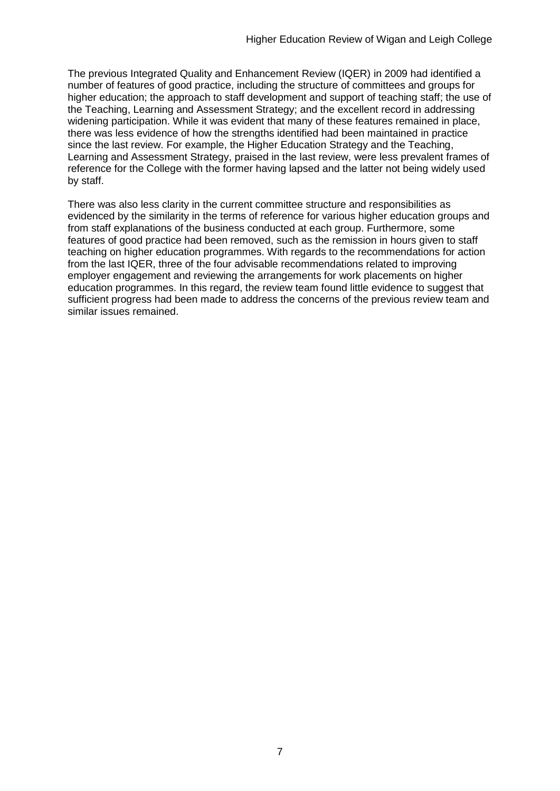The previous Integrated Quality and Enhancement Review (IQER) in 2009 had identified a number of features of good practice, including the structure of committees and groups for higher education; the approach to staff development and support of teaching staff; the use of the Teaching, Learning and Assessment Strategy; and the excellent record in addressing widening participation. While it was evident that many of these features remained in place, there was less evidence of how the strengths identified had been maintained in practice since the last review. For example, the Higher Education Strategy and the Teaching, Learning and Assessment Strategy, praised in the last review, were less prevalent frames of reference for the College with the former having lapsed and the latter not being widely used by staff.

There was also less clarity in the current committee structure and responsibilities as evidenced by the similarity in the terms of reference for various higher education groups and from staff explanations of the business conducted at each group. Furthermore, some features of good practice had been removed, such as the remission in hours given to staff teaching on higher education programmes. With regards to the recommendations for action from the last IQER, three of the four advisable recommendations related to improving employer engagement and reviewing the arrangements for work placements on higher education programmes. In this regard, the review team found little evidence to suggest that sufficient progress had been made to address the concerns of the previous review team and similar issues remained.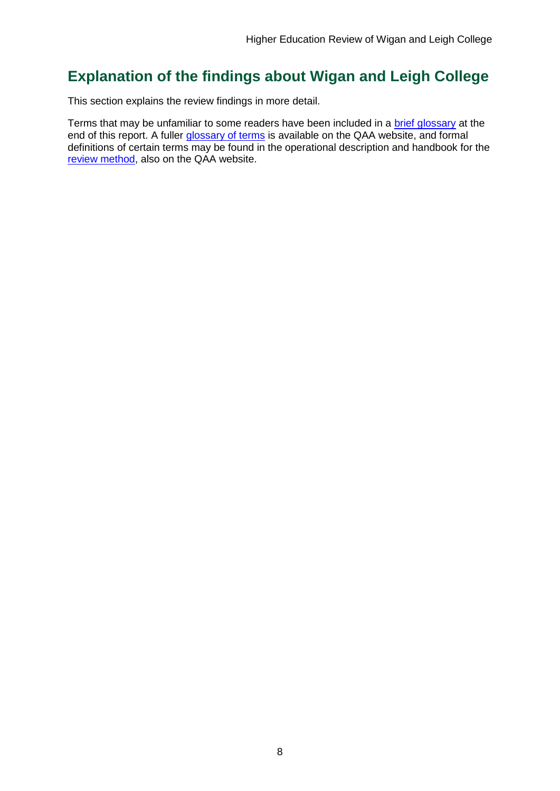## <span id="page-8-0"></span>**Explanation of the findings about Wigan and Leigh College**

This section explains the review findings in more detail.

Terms that may be unfamiliar to some readers have been included in a [brief glossary](#page-40-0) at the end of this report. A fuller [glossary of terms](http://www.qaa.ac.uk/AboutUs/glossary/Pages/default.aspx) is available on the QAA website, and formal definitions of certain terms may be found in the operational description and handbook for the [review method,](http://www.qaa.ac.uk/InstitutionReports/types-of-review/Pages/IRENI.aspx) also on the QAA website.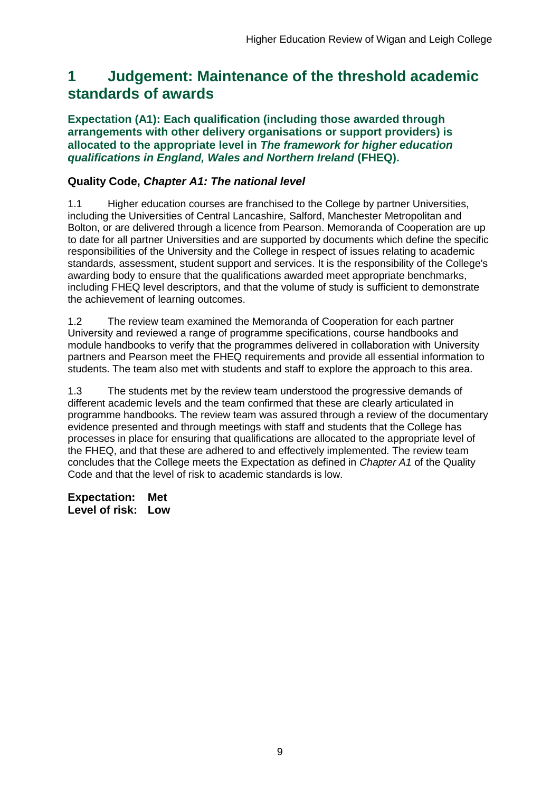## <span id="page-9-0"></span>**1 Judgement: Maintenance of the threshold academic standards of awards**

**Expectation (A1): Each qualification (including those awarded through arrangements with other delivery organisations or support providers) is allocated to the appropriate level in** *The framework for higher education qualifications in England, Wales and Northern Ireland* **(FHEQ).**

### **Quality Code,** *Chapter A1: The national level*

1.1 Higher education courses are franchised to the College by partner Universities, including the Universities of Central Lancashire, Salford, Manchester Metropolitan and Bolton, or are delivered through a licence from Pearson. Memoranda of Cooperation are up to date for all partner Universities and are supported by documents which define the specific responsibilities of the University and the College in respect of issues relating to academic standards, assessment, student support and services. It is the responsibility of the College's awarding body to ensure that the qualifications awarded meet appropriate benchmarks, including FHEQ level descriptors, and that the volume of study is sufficient to demonstrate the achievement of learning outcomes.

1.2 The review team examined the Memoranda of Cooperation for each partner University and reviewed a range of programme specifications, course handbooks and module handbooks to verify that the programmes delivered in collaboration with University partners and Pearson meet the FHEQ requirements and provide all essential information to students. The team also met with students and staff to explore the approach to this area.

1.3 The students met by the review team understood the progressive demands of different academic levels and the team confirmed that these are clearly articulated in programme handbooks. The review team was assured through a review of the documentary evidence presented and through meetings with staff and students that the College has processes in place for ensuring that qualifications are allocated to the appropriate level of the FHEQ, and that these are adhered to and effectively implemented. The review team concludes that the College meets the Expectation as defined in *Chapter A1* of the Quality Code and that the level of risk to academic standards is low.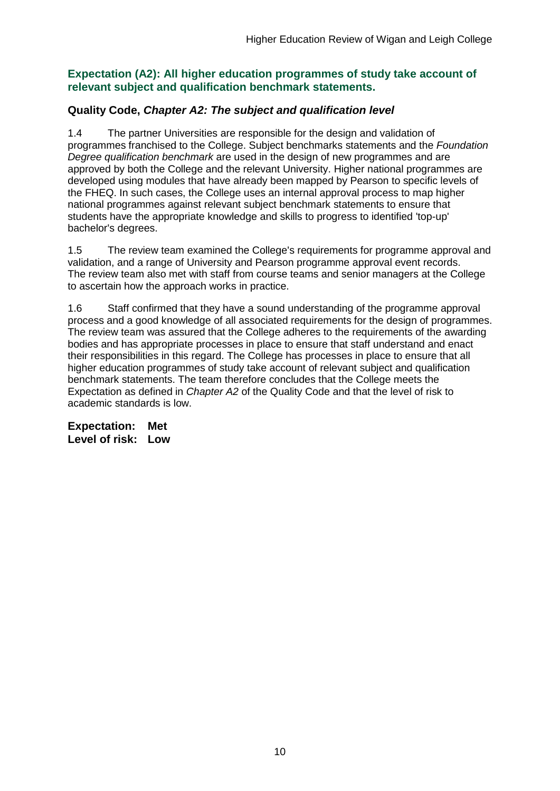### **Expectation (A2): All higher education programmes of study take account of relevant subject and qualification benchmark statements.**

## **Quality Code,** *Chapter A2: The subject and qualification level*

1.4 The partner Universities are responsible for the design and validation of programmes franchised to the College. Subject benchmarks statements and the *Foundation Degree qualification benchmark* are used in the design of new programmes and are approved by both the College and the relevant University. Higher national programmes are developed using modules that have already been mapped by Pearson to specific levels of the FHEQ. In such cases, the College uses an internal approval process to map higher national programmes against relevant subject benchmark statements to ensure that students have the appropriate knowledge and skills to progress to identified 'top-up' bachelor's degrees.

1.5 The review team examined the College's requirements for programme approval and validation, and a range of University and Pearson programme approval event records. The review team also met with staff from course teams and senior managers at the College to ascertain how the approach works in practice.

1.6 Staff confirmed that they have a sound understanding of the programme approval process and a good knowledge of all associated requirements for the design of programmes. The review team was assured that the College adheres to the requirements of the awarding bodies and has appropriate processes in place to ensure that staff understand and enact their responsibilities in this regard. The College has processes in place to ensure that all higher education programmes of study take account of relevant subject and qualification benchmark statements. The team therefore concludes that the College meets the Expectation as defined in *Chapter A2* of the Quality Code and that the level of risk to academic standards is low.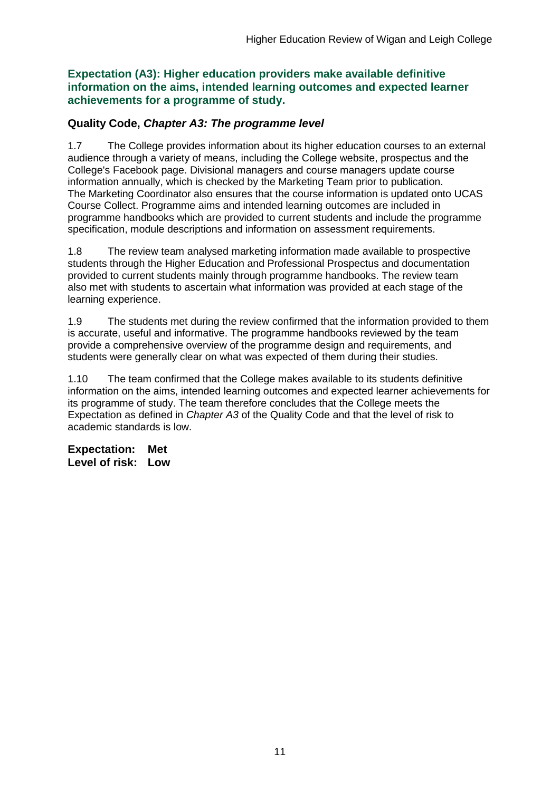**Expectation (A3): Higher education providers make available definitive information on the aims, intended learning outcomes and expected learner achievements for a programme of study.**

## **Quality Code,** *Chapter A3: The programme level*

1.7 The College provides information about its higher education courses to an external audience through a variety of means, including the College website, prospectus and the College's Facebook page. Divisional managers and course managers update course information annually, which is checked by the Marketing Team prior to publication. The Marketing Coordinator also ensures that the course information is updated onto UCAS Course Collect. Programme aims and intended learning outcomes are included in programme handbooks which are provided to current students and include the programme specification, module descriptions and information on assessment requirements.

1.8 The review team analysed marketing information made available to prospective students through the Higher Education and Professional Prospectus and documentation provided to current students mainly through programme handbooks. The review team also met with students to ascertain what information was provided at each stage of the learning experience.

1.9 The students met during the review confirmed that the information provided to them is accurate, useful and informative. The programme handbooks reviewed by the team provide a comprehensive overview of the programme design and requirements, and students were generally clear on what was expected of them during their studies.

1.10 The team confirmed that the College makes available to its students definitive information on the aims, intended learning outcomes and expected learner achievements for its programme of study. The team therefore concludes that the College meets the Expectation as defined in *Chapter A3* of the Quality Code and that the level of risk to academic standards is low.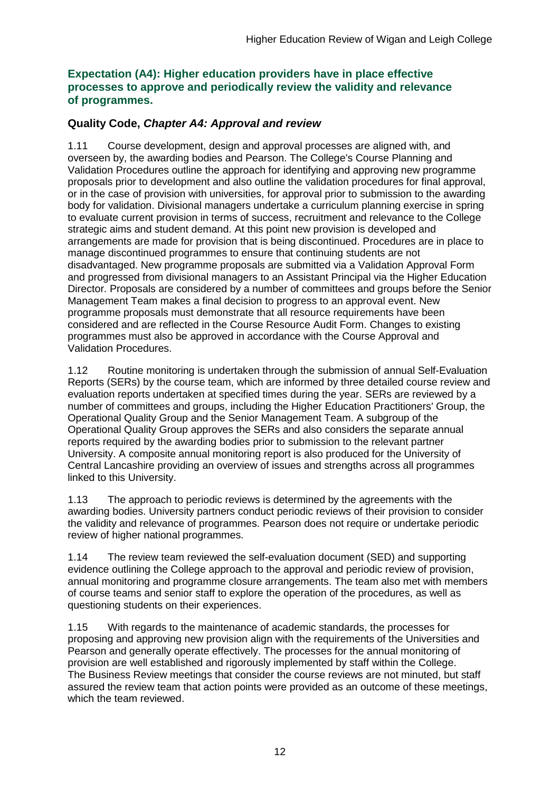### **Expectation (A4): Higher education providers have in place effective processes to approve and periodically review the validity and relevance of programmes.**

## **Quality Code,** *Chapter A4: Approval and review*

1.11 Course development, design and approval processes are aligned with, and overseen by, the awarding bodies and Pearson. The College's Course Planning and Validation Procedures outline the approach for identifying and approving new programme proposals prior to development and also outline the validation procedures for final approval, or in the case of provision with universities, for approval prior to submission to the awarding body for validation. Divisional managers undertake a curriculum planning exercise in spring to evaluate current provision in terms of success, recruitment and relevance to the College strategic aims and student demand. At this point new provision is developed and arrangements are made for provision that is being discontinued. Procedures are in place to manage discontinued programmes to ensure that continuing students are not disadvantaged. New programme proposals are submitted via a Validation Approval Form and progressed from divisional managers to an Assistant Principal via the Higher Education Director. Proposals are considered by a number of committees and groups before the Senior Management Team makes a final decision to progress to an approval event. New programme proposals must demonstrate that all resource requirements have been considered and are reflected in the Course Resource Audit Form. Changes to existing programmes must also be approved in accordance with the Course Approval and Validation Procedures.

1.12 Routine monitoring is undertaken through the submission of annual Self-Evaluation Reports (SERs) by the course team, which are informed by three detailed course review and evaluation reports undertaken at specified times during the year. SERs are reviewed by a number of committees and groups, including the Higher Education Practitioners' Group, the Operational Quality Group and the Senior Management Team. A subgroup of the Operational Quality Group approves the SERs and also considers the separate annual reports required by the awarding bodies prior to submission to the relevant partner University. A composite annual monitoring report is also produced for the University of Central Lancashire providing an overview of issues and strengths across all programmes linked to this University.

1.13 The approach to periodic reviews is determined by the agreements with the awarding bodies. University partners conduct periodic reviews of their provision to consider the validity and relevance of programmes. Pearson does not require or undertake periodic review of higher national programmes.

1.14 The review team reviewed the self-evaluation document (SED) and supporting evidence outlining the College approach to the approval and periodic review of provision, annual monitoring and programme closure arrangements. The team also met with members of course teams and senior staff to explore the operation of the procedures, as well as questioning students on their experiences.

1.15 With regards to the maintenance of academic standards, the processes for proposing and approving new provision align with the requirements of the Universities and Pearson and generally operate effectively. The processes for the annual monitoring of provision are well established and rigorously implemented by staff within the College. The Business Review meetings that consider the course reviews are not minuted, but staff assured the review team that action points were provided as an outcome of these meetings, which the team reviewed.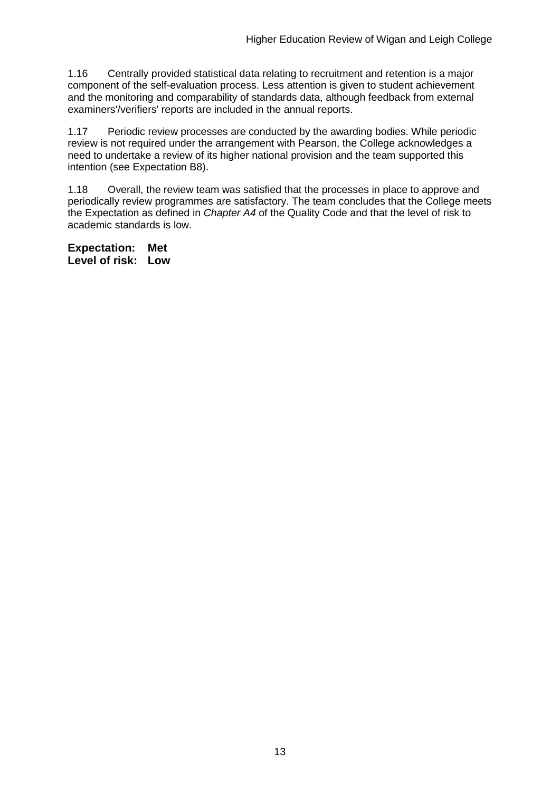1.16 Centrally provided statistical data relating to recruitment and retention is a major component of the self-evaluation process. Less attention is given to student achievement and the monitoring and comparability of standards data, although feedback from external examiners'/verifiers' reports are included in the annual reports.

1.17 Periodic review processes are conducted by the awarding bodies. While periodic review is not required under the arrangement with Pearson, the College acknowledges a need to undertake a review of its higher national provision and the team supported this intention (see Expectation B8).

1.18 Overall, the review team was satisfied that the processes in place to approve and periodically review programmes are satisfactory. The team concludes that the College meets the Expectation as defined in *Chapter A4* of the Quality Code and that the level of risk to academic standards is low.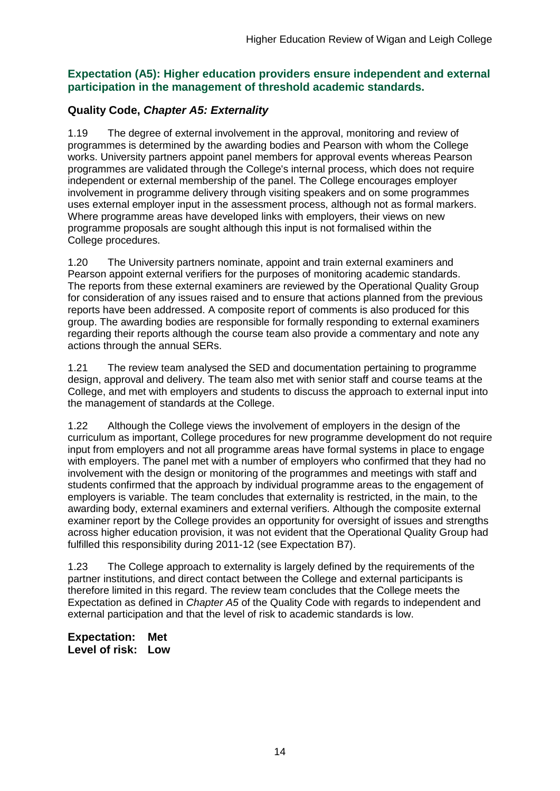### **Expectation (A5): Higher education providers ensure independent and external participation in the management of threshold academic standards.**

## **Quality Code,** *Chapter A5: Externality*

1.19 The degree of external involvement in the approval, monitoring and review of programmes is determined by the awarding bodies and Pearson with whom the College works. University partners appoint panel members for approval events whereas Pearson programmes are validated through the College's internal process, which does not require independent or external membership of the panel. The College encourages employer involvement in programme delivery through visiting speakers and on some programmes uses external employer input in the assessment process, although not as formal markers. Where programme areas have developed links with employers, their views on new programme proposals are sought although this input is not formalised within the College procedures.

1.20 The University partners nominate, appoint and train external examiners and Pearson appoint external verifiers for the purposes of monitoring academic standards. The reports from these external examiners are reviewed by the Operational Quality Group for consideration of any issues raised and to ensure that actions planned from the previous reports have been addressed. A composite report of comments is also produced for this group. The awarding bodies are responsible for formally responding to external examiners regarding their reports although the course team also provide a commentary and note any actions through the annual SERs.

1.21 The review team analysed the SED and documentation pertaining to programme design, approval and delivery. The team also met with senior staff and course teams at the College, and met with employers and students to discuss the approach to external input into the management of standards at the College.

1.22 Although the College views the involvement of employers in the design of the curriculum as important, College procedures for new programme development do not require input from employers and not all programme areas have formal systems in place to engage with employers. The panel met with a number of employers who confirmed that they had no involvement with the design or monitoring of the programmes and meetings with staff and students confirmed that the approach by individual programme areas to the engagement of employers is variable. The team concludes that externality is restricted, in the main, to the awarding body, external examiners and external verifiers. Although the composite external examiner report by the College provides an opportunity for oversight of issues and strengths across higher education provision, it was not evident that the Operational Quality Group had fulfilled this responsibility during 2011-12 (see Expectation B7).

1.23 The College approach to externality is largely defined by the requirements of the partner institutions, and direct contact between the College and external participants is therefore limited in this regard. The review team concludes that the College meets the Expectation as defined in *Chapter A5* of the Quality Code with regards to independent and external participation and that the level of risk to academic standards is low.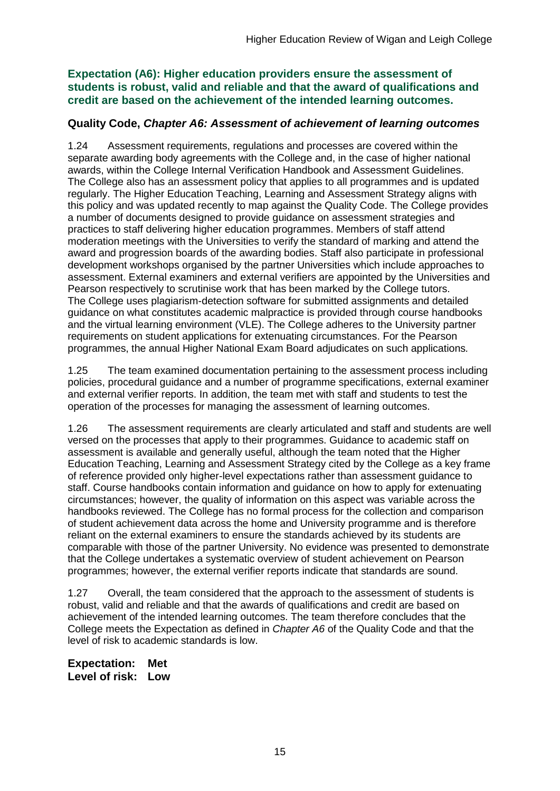**Expectation (A6): Higher education providers ensure the assessment of students is robust, valid and reliable and that the award of qualifications and credit are based on the achievement of the intended learning outcomes.**

### **Quality Code,** *Chapter A6: Assessment of achievement of learning outcomes*

1.24 Assessment requirements, regulations and processes are covered within the separate awarding body agreements with the College and, in the case of higher national awards, within the College Internal Verification Handbook and Assessment Guidelines. The College also has an assessment policy that applies to all programmes and is updated regularly. The Higher Education Teaching, Learning and Assessment Strategy aligns with this policy and was updated recently to map against the Quality Code. The College provides a number of documents designed to provide guidance on assessment strategies and practices to staff delivering higher education programmes. Members of staff attend moderation meetings with the Universities to verify the standard of marking and attend the award and progression boards of the awarding bodies. Staff also participate in professional development workshops organised by the partner Universities which include approaches to assessment. External examiners and external verifiers are appointed by the Universities and Pearson respectively to scrutinise work that has been marked by the College tutors. The College uses plagiarism-detection software for submitted assignments and detailed guidance on what constitutes academic malpractice is provided through course handbooks and the virtual learning environment (VLE). The College adheres to the University partner requirements on student applications for extenuating circumstances. For the Pearson programmes, the annual Higher National Exam Board adjudicates on such applications*.*

1.25 The team examined documentation pertaining to the assessment process including policies, procedural guidance and a number of programme specifications, external examiner and external verifier reports. In addition, the team met with staff and students to test the operation of the processes for managing the assessment of learning outcomes.

1.26 The assessment requirements are clearly articulated and staff and students are well versed on the processes that apply to their programmes. Guidance to academic staff on assessment is available and generally useful, although the team noted that the Higher Education Teaching, Learning and Assessment Strategy cited by the College as a key frame of reference provided only higher-level expectations rather than assessment guidance to staff. Course handbooks contain information and guidance on how to apply for extenuating circumstances; however, the quality of information on this aspect was variable across the handbooks reviewed. The College has no formal process for the collection and comparison of student achievement data across the home and University programme and is therefore reliant on the external examiners to ensure the standards achieved by its students are comparable with those of the partner University. No evidence was presented to demonstrate that the College undertakes a systematic overview of student achievement on Pearson programmes; however, the external verifier reports indicate that standards are sound.

1.27 Overall, the team considered that the approach to the assessment of students is robust, valid and reliable and that the awards of qualifications and credit are based on achievement of the intended learning outcomes. The team therefore concludes that the College meets the Expectation as defined in *Chapter A6* of the Quality Code and that the level of risk to academic standards is low.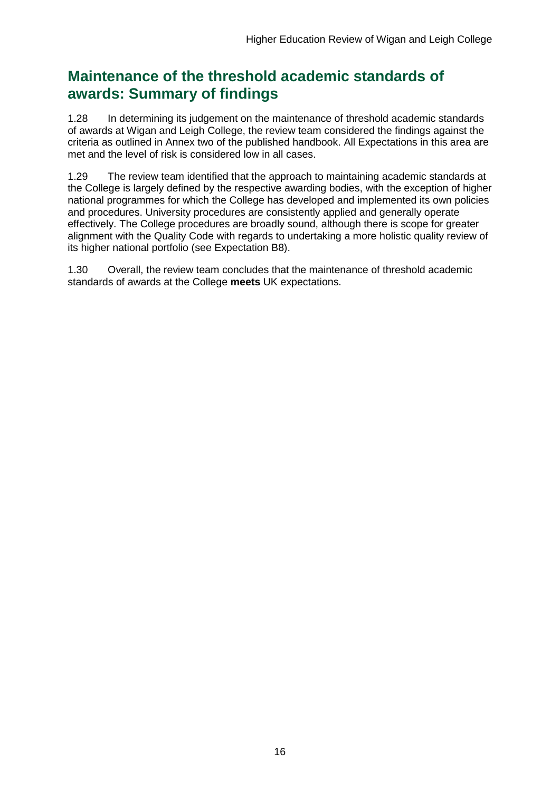## **Maintenance of the threshold academic standards of awards: Summary of findings**

1.28 In determining its judgement on the maintenance of threshold academic standards of awards at Wigan and Leigh College, the review team considered the findings against the criteria as outlined in Annex two of the published handbook. All Expectations in this area are met and the level of risk is considered low in all cases.

1.29 The review team identified that the approach to maintaining academic standards at the College is largely defined by the respective awarding bodies, with the exception of higher national programmes for which the College has developed and implemented its own policies and procedures. University procedures are consistently applied and generally operate effectively. The College procedures are broadly sound, although there is scope for greater alignment with the Quality Code with regards to undertaking a more holistic quality review of its higher national portfolio (see Expectation B8).

1.30 Overall, the review team concludes that the maintenance of threshold academic standards of awards at the College **meets** UK expectations.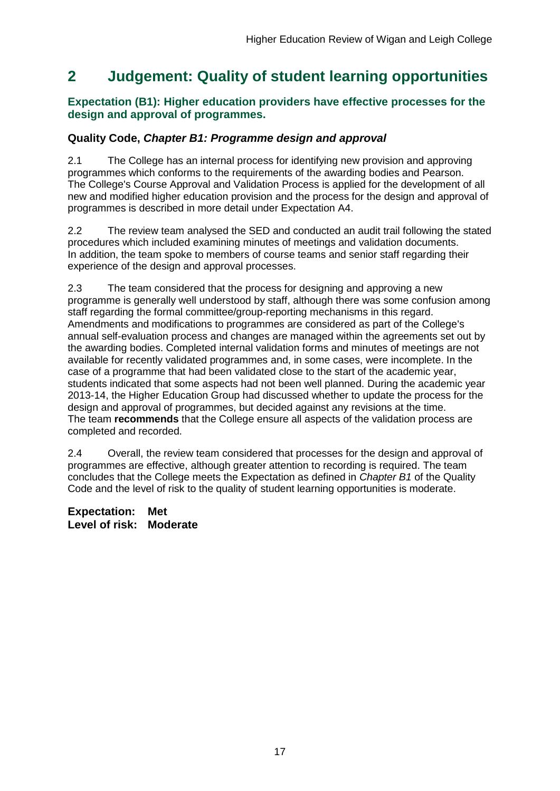## <span id="page-17-0"></span>**2 Judgement: Quality of student learning opportunities**

### **Expectation (B1): Higher education providers have effective processes for the design and approval of programmes.**

## **Quality Code,** *Chapter B1: Programme design and approval*

2.1 The College has an internal process for identifying new provision and approving programmes which conforms to the requirements of the awarding bodies and Pearson. The College's Course Approval and Validation Process is applied for the development of all new and modified higher education provision and the process for the design and approval of programmes is described in more detail under Expectation A4.

2.2 The review team analysed the SED and conducted an audit trail following the stated procedures which included examining minutes of meetings and validation documents. In addition, the team spoke to members of course teams and senior staff regarding their experience of the design and approval processes.

2.3 The team considered that the process for designing and approving a new programme is generally well understood by staff, although there was some confusion among staff regarding the formal committee/group-reporting mechanisms in this regard. Amendments and modifications to programmes are considered as part of the College's annual self-evaluation process and changes are managed within the agreements set out by the awarding bodies. Completed internal validation forms and minutes of meetings are not available for recently validated programmes and, in some cases, were incomplete. In the case of a programme that had been validated close to the start of the academic year, students indicated that some aspects had not been well planned. During the academic year 2013-14, the Higher Education Group had discussed whether to update the process for the design and approval of programmes, but decided against any revisions at the time. The team **recommends** that the College ensure all aspects of the validation process are completed and recorded.

2.4 Overall, the review team considered that processes for the design and approval of programmes are effective, although greater attention to recording is required. The team concludes that the College meets the Expectation as defined in *Chapter B1* of the Quality Code and the level of risk to the quality of student learning opportunities is moderate.

**Expectation: Met Level of risk: Moderate**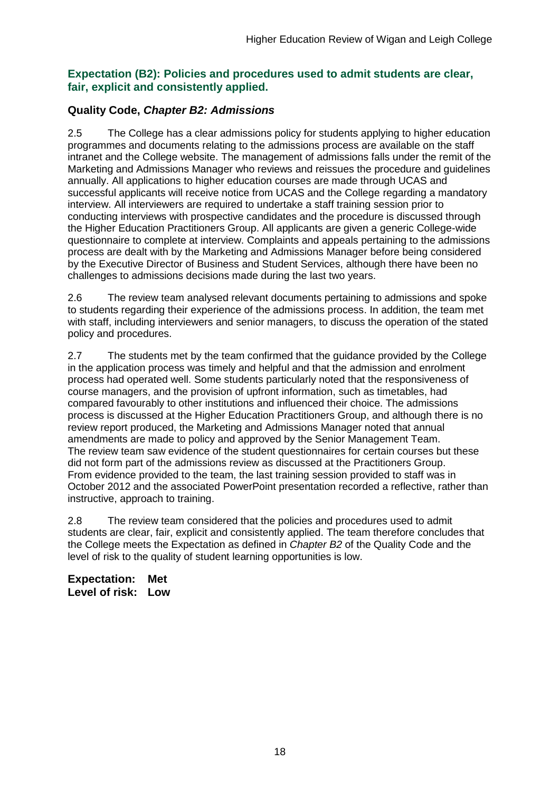### **Expectation (B2): Policies and procedures used to admit students are clear, fair, explicit and consistently applied.**

## **Quality Code,** *Chapter B2: Admissions*

2.5 The College has a clear admissions policy for students applying to higher education programmes and documents relating to the admissions process are available on the staff intranet and the College website. The management of admissions falls under the remit of the Marketing and Admissions Manager who reviews and reissues the procedure and guidelines annually. All applications to higher education courses are made through UCAS and successful applicants will receive notice from UCAS and the College regarding a mandatory interview. All interviewers are required to undertake a staff training session prior to conducting interviews with prospective candidates and the procedure is discussed through the Higher Education Practitioners Group. All applicants are given a generic College-wide questionnaire to complete at interview. Complaints and appeals pertaining to the admissions process are dealt with by the Marketing and Admissions Manager before being considered by the Executive Director of Business and Student Services, although there have been no challenges to admissions decisions made during the last two years.

2.6 The review team analysed relevant documents pertaining to admissions and spoke to students regarding their experience of the admissions process. In addition, the team met with staff, including interviewers and senior managers, to discuss the operation of the stated policy and procedures.

2.7 The students met by the team confirmed that the guidance provided by the College in the application process was timely and helpful and that the admission and enrolment process had operated well. Some students particularly noted that the responsiveness of course managers, and the provision of upfront information, such as timetables, had compared favourably to other institutions and influenced their choice. The admissions process is discussed at the Higher Education Practitioners Group, and although there is no review report produced, the Marketing and Admissions Manager noted that annual amendments are made to policy and approved by the Senior Management Team. The review team saw evidence of the student questionnaires for certain courses but these did not form part of the admissions review as discussed at the Practitioners Group. From evidence provided to the team, the last training session provided to staff was in October 2012 and the associated PowerPoint presentation recorded a reflective, rather than instructive, approach to training.

2.8 The review team considered that the policies and procedures used to admit students are clear, fair, explicit and consistently applied. The team therefore concludes that the College meets the Expectation as defined in *Chapter B2* of the Quality Code and the level of risk to the quality of student learning opportunities is low.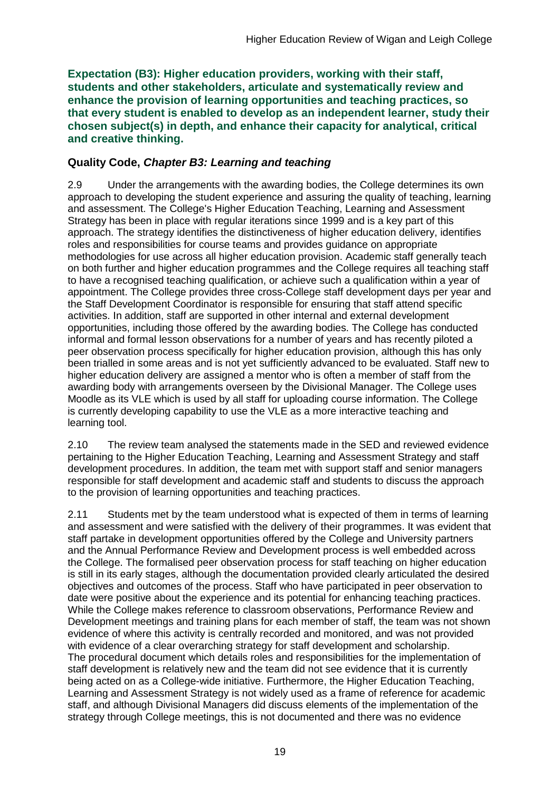**Expectation (B3): Higher education providers, working with their staff, students and other stakeholders, articulate and systematically review and enhance the provision of learning opportunities and teaching practices, so that every student is enabled to develop as an independent learner, study their chosen subject(s) in depth, and enhance their capacity for analytical, critical and creative thinking.**

### **Quality Code,** *Chapter B3: Learning and teaching*

2.9 Under the arrangements with the awarding bodies, the College determines its own approach to developing the student experience and assuring the quality of teaching, learning and assessment. The College's Higher Education Teaching, Learning and Assessment Strategy has been in place with regular iterations since 1999 and is a key part of this approach. The strategy identifies the distinctiveness of higher education delivery, identifies roles and responsibilities for course teams and provides guidance on appropriate methodologies for use across all higher education provision. Academic staff generally teach on both further and higher education programmes and the College requires all teaching staff to have a recognised teaching qualification, or achieve such a qualification within a year of appointment. The College provides three cross-College staff development days per year and the Staff Development Coordinator is responsible for ensuring that staff attend specific activities. In addition, staff are supported in other internal and external development opportunities, including those offered by the awarding bodies. The College has conducted informal and formal lesson observations for a number of years and has recently piloted a peer observation process specifically for higher education provision, although this has only been trialled in some areas and is not yet sufficiently advanced to be evaluated. Staff new to higher education delivery are assigned a mentor who is often a member of staff from the awarding body with arrangements overseen by the Divisional Manager. The College uses Moodle as its VLE which is used by all staff for uploading course information. The College is currently developing capability to use the VLE as a more interactive teaching and learning tool.

2.10 The review team analysed the statements made in the SED and reviewed evidence pertaining to the Higher Education Teaching, Learning and Assessment Strategy and staff development procedures. In addition, the team met with support staff and senior managers responsible for staff development and academic staff and students to discuss the approach to the provision of learning opportunities and teaching practices.

2.11 Students met by the team understood what is expected of them in terms of learning and assessment and were satisfied with the delivery of their programmes. It was evident that staff partake in development opportunities offered by the College and University partners and the Annual Performance Review and Development process is well embedded across the College. The formalised peer observation process for staff teaching on higher education is still in its early stages, although the documentation provided clearly articulated the desired objectives and outcomes of the process. Staff who have participated in peer observation to date were positive about the experience and its potential for enhancing teaching practices. While the College makes reference to classroom observations, Performance Review and Development meetings and training plans for each member of staff, the team was not shown evidence of where this activity is centrally recorded and monitored, and was not provided with evidence of a clear overarching strategy for staff development and scholarship. The procedural document which details roles and responsibilities for the implementation of staff development is relatively new and the team did not see evidence that it is currently being acted on as a College-wide initiative. Furthermore, the Higher Education Teaching, Learning and Assessment Strategy is not widely used as a frame of reference for academic staff, and although Divisional Managers did discuss elements of the implementation of the strategy through College meetings, this is not documented and there was no evidence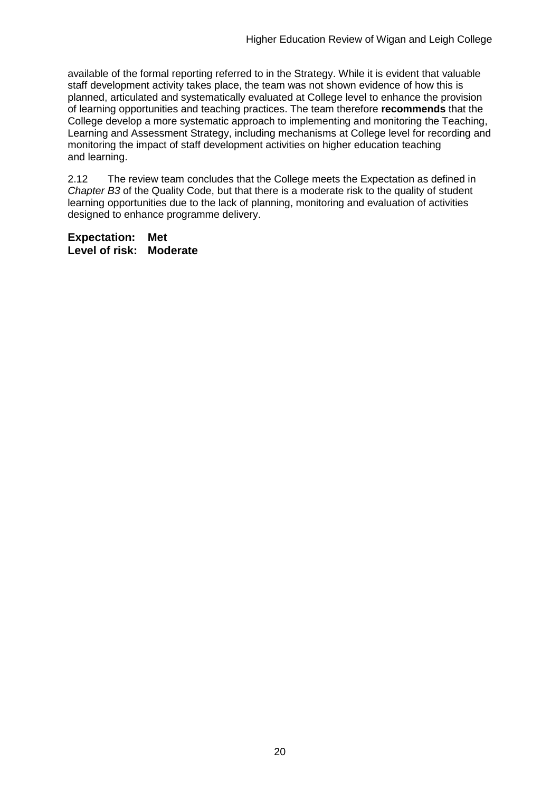available of the formal reporting referred to in the Strategy. While it is evident that valuable staff development activity takes place, the team was not shown evidence of how this is planned, articulated and systematically evaluated at College level to enhance the provision of learning opportunities and teaching practices. The team therefore **recommends** that the College develop a more systematic approach to implementing and monitoring the Teaching, Learning and Assessment Strategy, including mechanisms at College level for recording and monitoring the impact of staff development activities on higher education teaching and learning.

2.12 The review team concludes that the College meets the Expectation as defined in *Chapter B3* of the Quality Code, but that there is a moderate risk to the quality of student learning opportunities due to the lack of planning, monitoring and evaluation of activities designed to enhance programme delivery.

**Expectation: Met Level of risk: Moderate**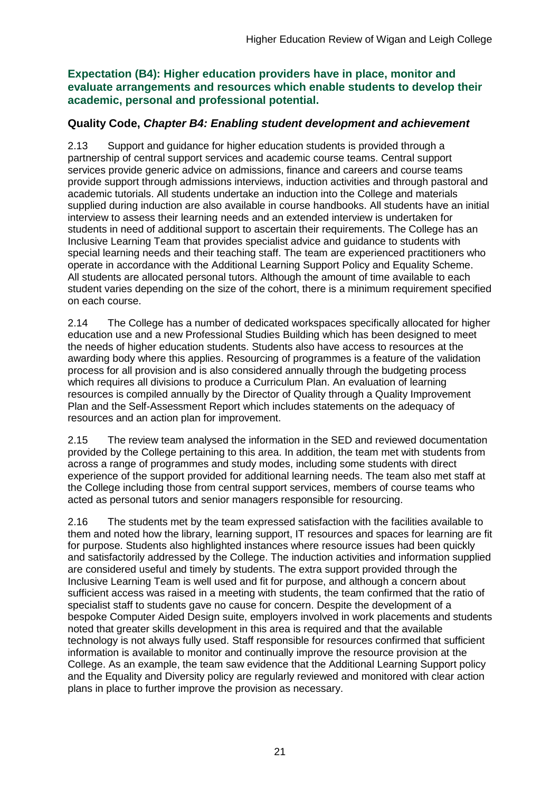**Expectation (B4): Higher education providers have in place, monitor and evaluate arrangements and resources which enable students to develop their academic, personal and professional potential.**

## **Quality Code,** *Chapter B4: Enabling student development and achievement*

2.13 Support and guidance for higher education students is provided through a partnership of central support services and academic course teams. Central support services provide generic advice on admissions, finance and careers and course teams provide support through admissions interviews, induction activities and through pastoral and academic tutorials. All students undertake an induction into the College and materials supplied during induction are also available in course handbooks. All students have an initial interview to assess their learning needs and an extended interview is undertaken for students in need of additional support to ascertain their requirements. The College has an Inclusive Learning Team that provides specialist advice and guidance to students with special learning needs and their teaching staff. The team are experienced practitioners who operate in accordance with the Additional Learning Support Policy and Equality Scheme. All students are allocated personal tutors. Although the amount of time available to each student varies depending on the size of the cohort, there is a minimum requirement specified on each course.

2.14 The College has a number of dedicated workspaces specifically allocated for higher education use and a new Professional Studies Building which has been designed to meet the needs of higher education students. Students also have access to resources at the awarding body where this applies. Resourcing of programmes is a feature of the validation process for all provision and is also considered annually through the budgeting process which requires all divisions to produce a Curriculum Plan. An evaluation of learning resources is compiled annually by the Director of Quality through a Quality Improvement Plan and the Self-Assessment Report which includes statements on the adequacy of resources and an action plan for improvement.

2.15 The review team analysed the information in the SED and reviewed documentation provided by the College pertaining to this area. In addition, the team met with students from across a range of programmes and study modes, including some students with direct experience of the support provided for additional learning needs. The team also met staff at the College including those from central support services, members of course teams who acted as personal tutors and senior managers responsible for resourcing.

2.16 The students met by the team expressed satisfaction with the facilities available to them and noted how the library, learning support, IT resources and spaces for learning are fit for purpose. Students also highlighted instances where resource issues had been quickly and satisfactorily addressed by the College. The induction activities and information supplied are considered useful and timely by students. The extra support provided through the Inclusive Learning Team is well used and fit for purpose, and although a concern about sufficient access was raised in a meeting with students, the team confirmed that the ratio of specialist staff to students gave no cause for concern. Despite the development of a bespoke Computer Aided Design suite, employers involved in work placements and students noted that greater skills development in this area is required and that the available technology is not always fully used. Staff responsible for resources confirmed that sufficient information is available to monitor and continually improve the resource provision at the College. As an example, the team saw evidence that the Additional Learning Support policy and the Equality and Diversity policy are regularly reviewed and monitored with clear action plans in place to further improve the provision as necessary.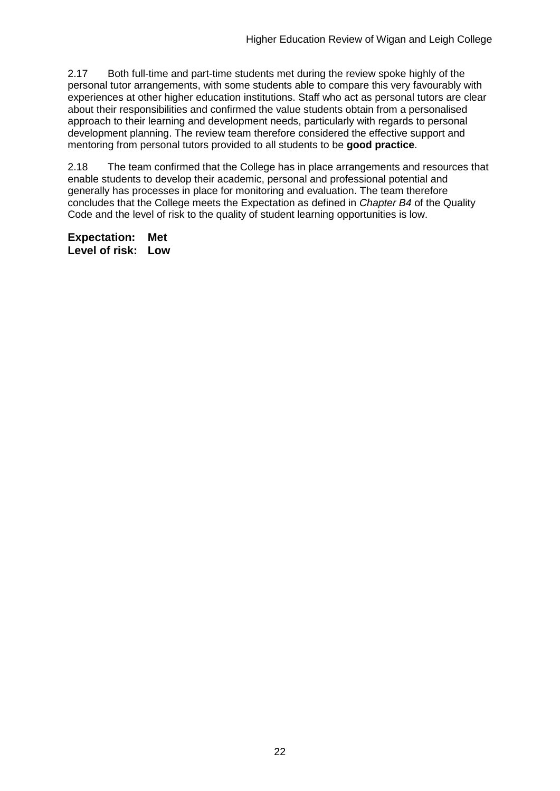2.17 Both full-time and part-time students met during the review spoke highly of the personal tutor arrangements, with some students able to compare this very favourably with experiences at other higher education institutions. Staff who act as personal tutors are clear about their responsibilities and confirmed the value students obtain from a personalised approach to their learning and development needs, particularly with regards to personal development planning. The review team therefore considered the effective support and mentoring from personal tutors provided to all students to be **good practice**.

2.18 The team confirmed that the College has in place arrangements and resources that enable students to develop their academic, personal and professional potential and generally has processes in place for monitoring and evaluation. The team therefore concludes that the College meets the Expectation as defined in *Chapter B4* of the Quality Code and the level of risk to the quality of student learning opportunities is low.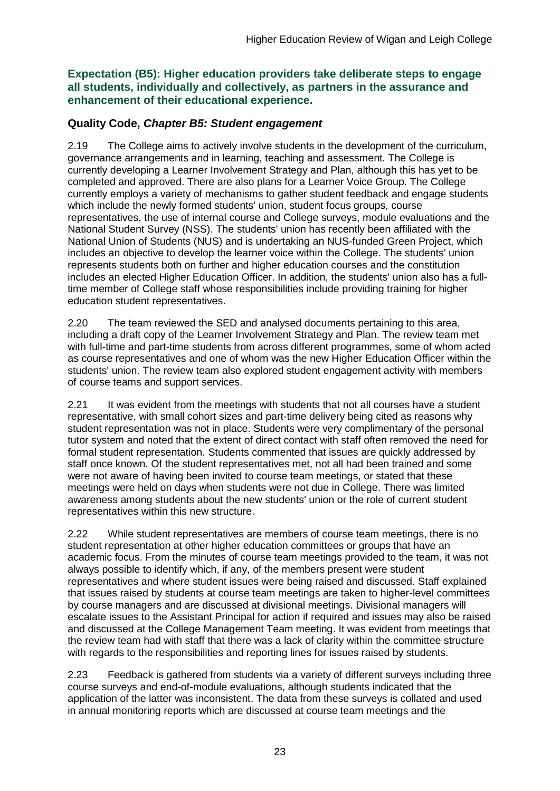**Expectation (B5): Higher education providers take deliberate steps to engage all students, individually and collectively, as partners in the assurance and enhancement of their educational experience.**

### **Quality Code,** *Chapter B5: Student engagement*

2.19 The College aims to actively involve students in the development of the curriculum, governance arrangements and in learning, teaching and assessment. The College is currently developing a Learner Involvement Strategy and Plan, although this has yet to be completed and approved. There are also plans for a Learner Voice Group. The College currently employs a variety of mechanisms to gather student feedback and engage students which include the newly formed students' union, student focus groups, course representatives, the use of internal course and College surveys, module evaluations and the National Student Survey (NSS). The students' union has recently been affiliated with the National Union of Students (NUS) and is undertaking an NUS-funded Green Project, which includes an objective to develop the learner voice within the College. The students' union represents students both on further and higher education courses and the constitution includes an elected Higher Education Officer. In addition, the students' union also has a fulltime member of College staff whose responsibilities include providing training for higher education student representatives.

2.20 The team reviewed the SED and analysed documents pertaining to this area, including a draft copy of the Learner Involvement Strategy and Plan. The review team met with full-time and part-time students from across different programmes, some of whom acted as course representatives and one of whom was the new Higher Education Officer within the students' union. The review team also explored student engagement activity with members of course teams and support services.

2.21 It was evident from the meetings with students that not all courses have a student representative, with small cohort sizes and part-time delivery being cited as reasons why student representation was not in place. Students were very complimentary of the personal tutor system and noted that the extent of direct contact with staff often removed the need for formal student representation. Students commented that issues are quickly addressed by staff once known. Of the student representatives met, not all had been trained and some were not aware of having been invited to course team meetings, or stated that these meetings were held on days when students were not due in College. There was limited awareness among students about the new students' union or the role of current student representatives within this new structure.

2.22 While student representatives are members of course team meetings, there is no student representation at other higher education committees or groups that have an academic focus. From the minutes of course team meetings provided to the team, it was not always possible to identify which, if any, of the members present were student representatives and where student issues were being raised and discussed. Staff explained that issues raised by students at course team meetings are taken to higher-level committees by course managers and are discussed at divisional meetings. Divisional managers will escalate issues to the Assistant Principal for action if required and issues may also be raised and discussed at the College Management Team meeting. It was evident from meetings that the review team had with staff that there was a lack of clarity within the committee structure with regards to the responsibilities and reporting lines for issues raised by students.

2.23 Feedback is gathered from students via a variety of different surveys including three course surveys and end-of-module evaluations, although students indicated that the application of the latter was inconsistent. The data from these surveys is collated and used in annual monitoring reports which are discussed at course team meetings and the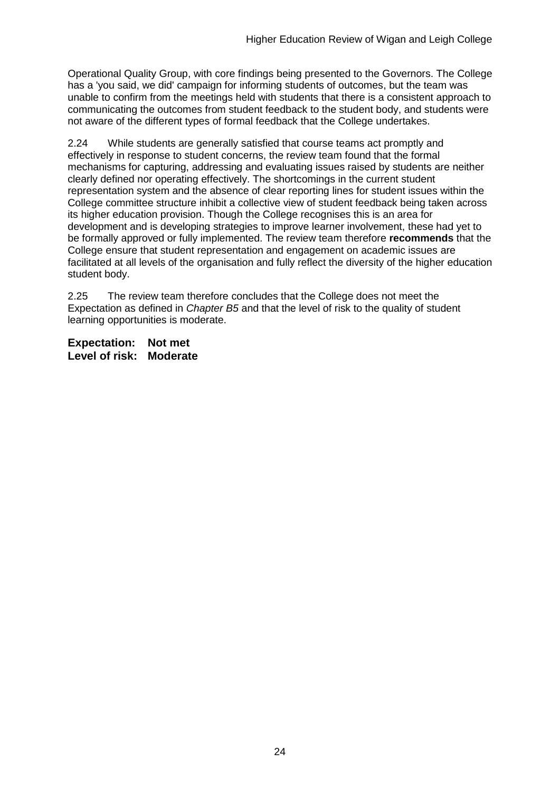Operational Quality Group, with core findings being presented to the Governors. The College has a 'you said, we did' campaign for informing students of outcomes, but the team was unable to confirm from the meetings held with students that there is a consistent approach to communicating the outcomes from student feedback to the student body, and students were not aware of the different types of formal feedback that the College undertakes.

2.24 While students are generally satisfied that course teams act promptly and effectively in response to student concerns, the review team found that the formal mechanisms for capturing, addressing and evaluating issues raised by students are neither clearly defined nor operating effectively. The shortcomings in the current student representation system and the absence of clear reporting lines for student issues within the College committee structure inhibit a collective view of student feedback being taken across its higher education provision. Though the College recognises this is an area for development and is developing strategies to improve learner involvement, these had yet to be formally approved or fully implemented. The review team therefore **recommends** that the College ensure that student representation and engagement on academic issues are facilitated at all levels of the organisation and fully reflect the diversity of the higher education student body.

2.25 The review team therefore concludes that the College does not meet the Expectation as defined in *Chapter B5* and that the level of risk to the quality of student learning opportunities is moderate.

**Expectation: Not met Level of risk: Moderate**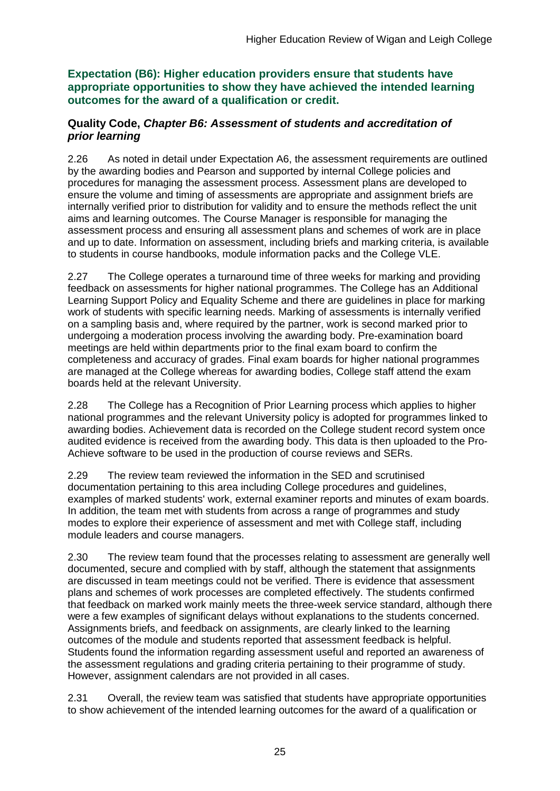**Expectation (B6): Higher education providers ensure that students have appropriate opportunities to show they have achieved the intended learning outcomes for the award of a qualification or credit.**

### **Quality Code,** *Chapter B6: Assessment of students and accreditation of prior learning*

2.26 As noted in detail under Expectation A6, the assessment requirements are outlined by the awarding bodies and Pearson and supported by internal College policies and procedures for managing the assessment process. Assessment plans are developed to ensure the volume and timing of assessments are appropriate and assignment briefs are internally verified prior to distribution for validity and to ensure the methods reflect the unit aims and learning outcomes. The Course Manager is responsible for managing the assessment process and ensuring all assessment plans and schemes of work are in place and up to date. Information on assessment, including briefs and marking criteria, is available to students in course handbooks, module information packs and the College VLE.

2.27 The College operates a turnaround time of three weeks for marking and providing feedback on assessments for higher national programmes. The College has an Additional Learning Support Policy and Equality Scheme and there are guidelines in place for marking work of students with specific learning needs. Marking of assessments is internally verified on a sampling basis and, where required by the partner, work is second marked prior to undergoing a moderation process involving the awarding body. Pre-examination board meetings are held within departments prior to the final exam board to confirm the completeness and accuracy of grades. Final exam boards for higher national programmes are managed at the College whereas for awarding bodies, College staff attend the exam boards held at the relevant University.

2.28 The College has a Recognition of Prior Learning process which applies to higher national programmes and the relevant University policy is adopted for programmes linked to awarding bodies. Achievement data is recorded on the College student record system once audited evidence is received from the awarding body. This data is then uploaded to the Pro-Achieve software to be used in the production of course reviews and SERs.

2.29 The review team reviewed the information in the SED and scrutinised documentation pertaining to this area including College procedures and guidelines, examples of marked students' work, external examiner reports and minutes of exam boards. In addition, the team met with students from across a range of programmes and study modes to explore their experience of assessment and met with College staff, including module leaders and course managers.

2.30 The review team found that the processes relating to assessment are generally well documented, secure and complied with by staff, although the statement that assignments are discussed in team meetings could not be verified. There is evidence that assessment plans and schemes of work processes are completed effectively. The students confirmed that feedback on marked work mainly meets the three-week service standard, although there were a few examples of significant delays without explanations to the students concerned. Assignments briefs, and feedback on assignments, are clearly linked to the learning outcomes of the module and students reported that assessment feedback is helpful. Students found the information regarding assessment useful and reported an awareness of the assessment regulations and grading criteria pertaining to their programme of study. However, assignment calendars are not provided in all cases.

2.31 Overall, the review team was satisfied that students have appropriate opportunities to show achievement of the intended learning outcomes for the award of a qualification or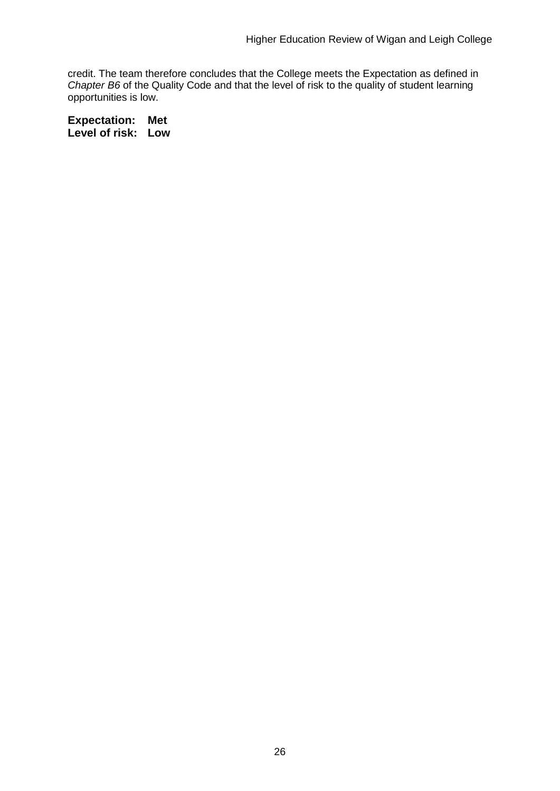credit. The team therefore concludes that the College meets the Expectation as defined in *Chapter B6* of the Quality Code and that the level of risk to the quality of student learning opportunities is low.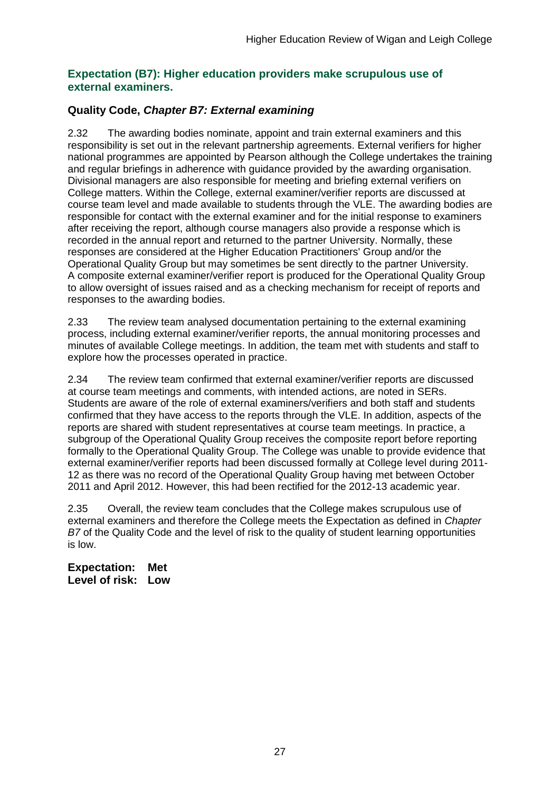### **Expectation (B7): Higher education providers make scrupulous use of external examiners.**

## **Quality Code,** *Chapter B7: External examining*

2.32 The awarding bodies nominate, appoint and train external examiners and this responsibility is set out in the relevant partnership agreements. External verifiers for higher national programmes are appointed by Pearson although the College undertakes the training and regular briefings in adherence with guidance provided by the awarding organisation. Divisional managers are also responsible for meeting and briefing external verifiers on College matters. Within the College, external examiner/verifier reports are discussed at course team level and made available to students through the VLE. The awarding bodies are responsible for contact with the external examiner and for the initial response to examiners after receiving the report, although course managers also provide a response which is recorded in the annual report and returned to the partner University. Normally, these responses are considered at the Higher Education Practitioners' Group and/or the Operational Quality Group but may sometimes be sent directly to the partner University. A composite external examiner/verifier report is produced for the Operational Quality Group to allow oversight of issues raised and as a checking mechanism for receipt of reports and responses to the awarding bodies.

2.33 The review team analysed documentation pertaining to the external examining process, including external examiner/verifier reports, the annual monitoring processes and minutes of available College meetings. In addition, the team met with students and staff to explore how the processes operated in practice.

2.34 The review team confirmed that external examiner/verifier reports are discussed at course team meetings and comments, with intended actions, are noted in SERs. Students are aware of the role of external examiners/verifiers and both staff and students confirmed that they have access to the reports through the VLE. In addition, aspects of the reports are shared with student representatives at course team meetings. In practice, a subgroup of the Operational Quality Group receives the composite report before reporting formally to the Operational Quality Group. The College was unable to provide evidence that external examiner/verifier reports had been discussed formally at College level during 2011- 12 as there was no record of the Operational Quality Group having met between October 2011 and April 2012. However, this had been rectified for the 2012-13 academic year.

2.35 Overall, the review team concludes that the College makes scrupulous use of external examiners and therefore the College meets the Expectation as defined in *Chapter B7* of the Quality Code and the level of risk to the quality of student learning opportunities is low.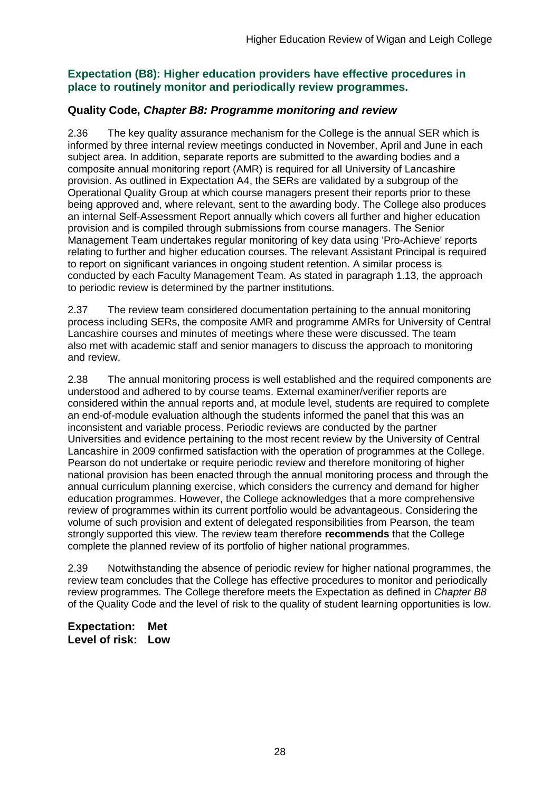### **Expectation (B8): Higher education providers have effective procedures in place to routinely monitor and periodically review programmes.**

### **Quality Code,** *Chapter B8: Programme monitoring and review*

2.36 The key quality assurance mechanism for the College is the annual SER which is informed by three internal review meetings conducted in November, April and June in each subject area. In addition, separate reports are submitted to the awarding bodies and a composite annual monitoring report (AMR) is required for all University of Lancashire provision. As outlined in Expectation A4, the SERs are validated by a subgroup of the Operational Quality Group at which course managers present their reports prior to these being approved and, where relevant, sent to the awarding body. The College also produces an internal Self-Assessment Report annually which covers all further and higher education provision and is compiled through submissions from course managers. The Senior Management Team undertakes regular monitoring of key data using 'Pro-Achieve' reports relating to further and higher education courses. The relevant Assistant Principal is required to report on significant variances in ongoing student retention. A similar process is conducted by each Faculty Management Team. As stated in paragraph 1.13, the approach to periodic review is determined by the partner institutions.

2.37 The review team considered documentation pertaining to the annual monitoring process including SERs, the composite AMR and programme AMRs for University of Central Lancashire courses and minutes of meetings where these were discussed. The team also met with academic staff and senior managers to discuss the approach to monitoring and review.

2.38 The annual monitoring process is well established and the required components are understood and adhered to by course teams. External examiner/verifier reports are considered within the annual reports and, at module level, students are required to complete an end-of-module evaluation although the students informed the panel that this was an inconsistent and variable process. Periodic reviews are conducted by the partner Universities and evidence pertaining to the most recent review by the University of Central Lancashire in 2009 confirmed satisfaction with the operation of programmes at the College. Pearson do not undertake or require periodic review and therefore monitoring of higher national provision has been enacted through the annual monitoring process and through the annual curriculum planning exercise, which considers the currency and demand for higher education programmes. However, the College acknowledges that a more comprehensive review of programmes within its current portfolio would be advantageous. Considering the volume of such provision and extent of delegated responsibilities from Pearson, the team strongly supported this view. The review team therefore **recommends** that the College complete the planned review of its portfolio of higher national programmes.

2.39 Notwithstanding the absence of periodic review for higher national programmes, the review team concludes that the College has effective procedures to monitor and periodically review programmes. The College therefore meets the Expectation as defined in *Chapter B8* of the Quality Code and the level of risk to the quality of student learning opportunities is low.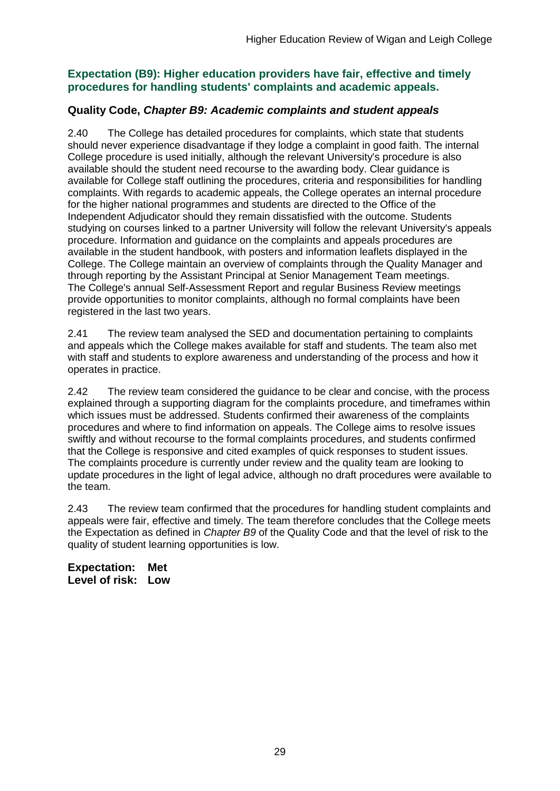## **Expectation (B9): Higher education providers have fair, effective and timely procedures for handling students' complaints and academic appeals.**

## **Quality Code,** *Chapter B9: Academic complaints and student appeals*

2.40 The College has detailed procedures for complaints, which state that students should never experience disadvantage if they lodge a complaint in good faith. The internal College procedure is used initially, although the relevant University's procedure is also available should the student need recourse to the awarding body. Clear guidance is available for College staff outlining the procedures, criteria and responsibilities for handling complaints. With regards to academic appeals, the College operates an internal procedure for the higher national programmes and students are directed to the Office of the Independent Adjudicator should they remain dissatisfied with the outcome. Students studying on courses linked to a partner University will follow the relevant University's appeals procedure. Information and guidance on the complaints and appeals procedures are available in the student handbook, with posters and information leaflets displayed in the College. The College maintain an overview of complaints through the Quality Manager and through reporting by the Assistant Principal at Senior Management Team meetings. The College's annual Self-Assessment Report and regular Business Review meetings provide opportunities to monitor complaints, although no formal complaints have been registered in the last two years.

2.41 The review team analysed the SED and documentation pertaining to complaints and appeals which the College makes available for staff and students. The team also met with staff and students to explore awareness and understanding of the process and how it operates in practice.

2.42 The review team considered the guidance to be clear and concise, with the process explained through a supporting diagram for the complaints procedure, and timeframes within which issues must be addressed. Students confirmed their awareness of the complaints procedures and where to find information on appeals. The College aims to resolve issues swiftly and without recourse to the formal complaints procedures, and students confirmed that the College is responsive and cited examples of quick responses to student issues. The complaints procedure is currently under review and the quality team are looking to update procedures in the light of legal advice, although no draft procedures were available to the team.

2.43 The review team confirmed that the procedures for handling student complaints and appeals were fair, effective and timely. The team therefore concludes that the College meets the Expectation as defined in *Chapter B9* of the Quality Code and that the level of risk to the quality of student learning opportunities is low.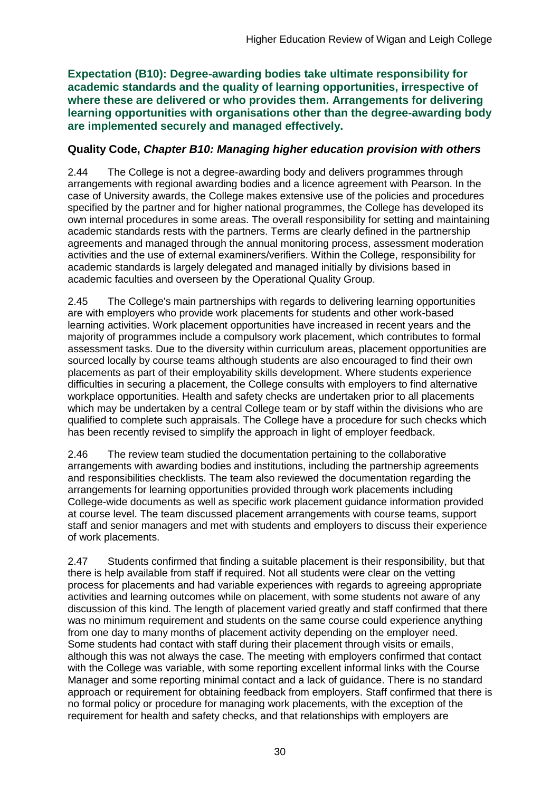**Expectation (B10): Degree-awarding bodies take ultimate responsibility for academic standards and the quality of learning opportunities, irrespective of where these are delivered or who provides them. Arrangements for delivering learning opportunities with organisations other than the degree-awarding body are implemented securely and managed effectively.**

## **Quality Code,** *Chapter B10: Managing higher education provision with others*

2.44 The College is not a degree-awarding body and delivers programmes through arrangements with regional awarding bodies and a licence agreement with Pearson. In the case of University awards, the College makes extensive use of the policies and procedures specified by the partner and for higher national programmes, the College has developed its own internal procedures in some areas. The overall responsibility for setting and maintaining academic standards rests with the partners. Terms are clearly defined in the partnership agreements and managed through the annual monitoring process, assessment moderation activities and the use of external examiners/verifiers. Within the College, responsibility for academic standards is largely delegated and managed initially by divisions based in academic faculties and overseen by the Operational Quality Group.

2.45 The College's main partnerships with regards to delivering learning opportunities are with employers who provide work placements for students and other work-based learning activities. Work placement opportunities have increased in recent years and the majority of programmes include a compulsory work placement, which contributes to formal assessment tasks. Due to the diversity within curriculum areas, placement opportunities are sourced locally by course teams although students are also encouraged to find their own placements as part of their employability skills development. Where students experience difficulties in securing a placement, the College consults with employers to find alternative workplace opportunities. Health and safety checks are undertaken prior to all placements which may be undertaken by a central College team or by staff within the divisions who are qualified to complete such appraisals. The College have a procedure for such checks which has been recently revised to simplify the approach in light of employer feedback.

2.46 The review team studied the documentation pertaining to the collaborative arrangements with awarding bodies and institutions, including the partnership agreements and responsibilities checklists. The team also reviewed the documentation regarding the arrangements for learning opportunities provided through work placements including College-wide documents as well as specific work placement guidance information provided at course level. The team discussed placement arrangements with course teams, support staff and senior managers and met with students and employers to discuss their experience of work placements.

2.47 Students confirmed that finding a suitable placement is their responsibility, but that there is help available from staff if required. Not all students were clear on the vetting process for placements and had variable experiences with regards to agreeing appropriate activities and learning outcomes while on placement, with some students not aware of any discussion of this kind. The length of placement varied greatly and staff confirmed that there was no minimum requirement and students on the same course could experience anything from one day to many months of placement activity depending on the employer need. Some students had contact with staff during their placement through visits or emails, although this was not always the case. The meeting with employers confirmed that contact with the College was variable, with some reporting excellent informal links with the Course Manager and some reporting minimal contact and a lack of guidance. There is no standard approach or requirement for obtaining feedback from employers. Staff confirmed that there is no formal policy or procedure for managing work placements, with the exception of the requirement for health and safety checks, and that relationships with employers are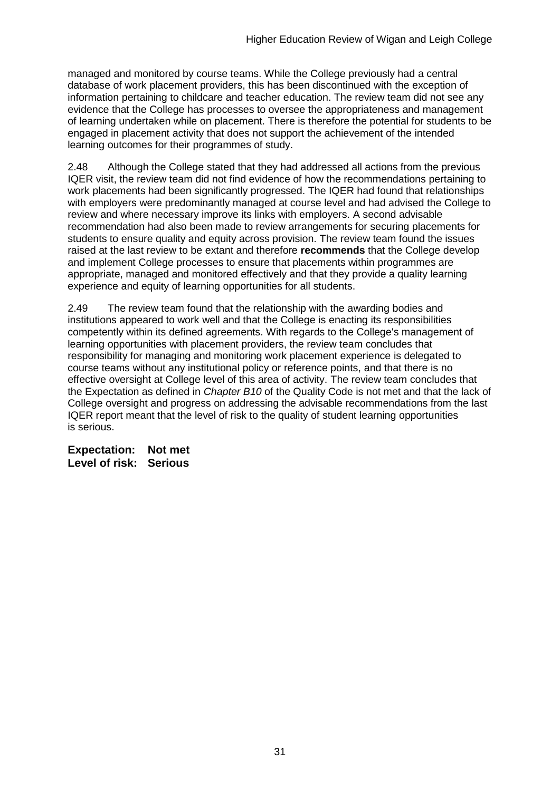managed and monitored by course teams. While the College previously had a central database of work placement providers, this has been discontinued with the exception of information pertaining to childcare and teacher education. The review team did not see any evidence that the College has processes to oversee the appropriateness and management of learning undertaken while on placement. There is therefore the potential for students to be engaged in placement activity that does not support the achievement of the intended learning outcomes for their programmes of study.

2.48 Although the College stated that they had addressed all actions from the previous IQER visit, the review team did not find evidence of how the recommendations pertaining to work placements had been significantly progressed. The IQER had found that relationships with employers were predominantly managed at course level and had advised the College to review and where necessary improve its links with employers. A second advisable recommendation had also been made to review arrangements for securing placements for students to ensure quality and equity across provision. The review team found the issues raised at the last review to be extant and therefore **recommends** that the College develop and implement College processes to ensure that placements within programmes are appropriate, managed and monitored effectively and that they provide a quality learning experience and equity of learning opportunities for all students.

2.49 The review team found that the relationship with the awarding bodies and institutions appeared to work well and that the College is enacting its responsibilities competently within its defined agreements. With regards to the College's management of learning opportunities with placement providers, the review team concludes that responsibility for managing and monitoring work placement experience is delegated to course teams without any institutional policy or reference points, and that there is no effective oversight at College level of this area of activity. The review team concludes that the Expectation as defined in *Chapter B10* of the Quality Code is not met and that the lack of College oversight and progress on addressing the advisable recommendations from the last IQER report meant that the level of risk to the quality of student learning opportunities is serious.

**Expectation: Not met Level of risk: Serious**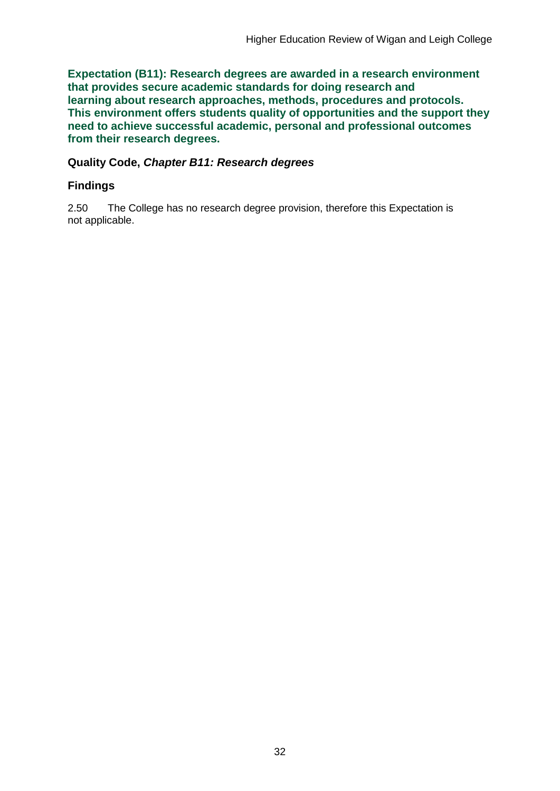**Expectation (B11): Research degrees are awarded in a research environment that provides secure academic standards for doing research and learning about research approaches, methods, procedures and protocols. This environment offers students quality of opportunities and the support they need to achieve successful academic, personal and professional outcomes from their research degrees.**

### **Quality Code,** *Chapter B11: Research degrees*

## **Findings**

2.50 The College has no research degree provision, therefore this Expectation is not applicable.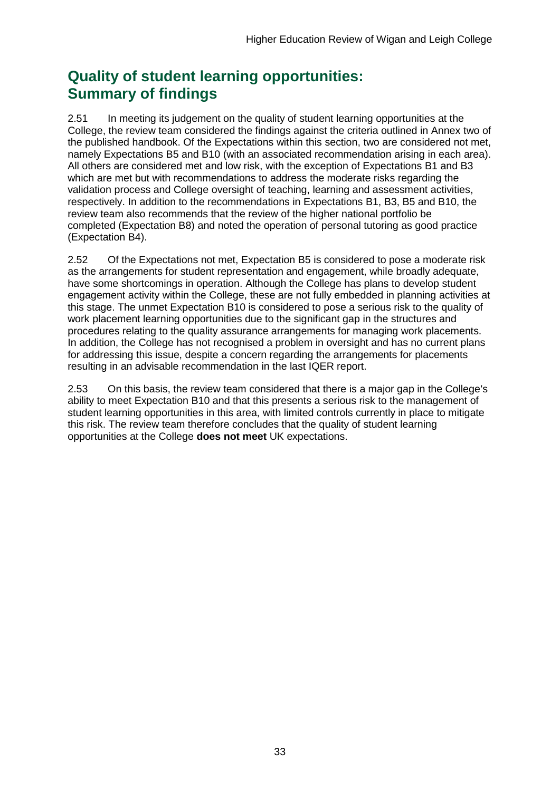## **Quality of student learning opportunities: Summary of findings**

2.51 In meeting its judgement on the quality of student learning opportunities at the College, the review team considered the findings against the criteria outlined in Annex two of the published handbook. Of the Expectations within this section, two are considered not met, namely Expectations B5 and B10 (with an associated recommendation arising in each area). All others are considered met and low risk, with the exception of Expectations B1 and B3 which are met but with recommendations to address the moderate risks regarding the validation process and College oversight of teaching, learning and assessment activities, respectively. In addition to the recommendations in Expectations B1, B3, B5 and B10, the review team also recommends that the review of the higher national portfolio be completed (Expectation B8) and noted the operation of personal tutoring as good practice (Expectation B4).

2.52 Of the Expectations not met, Expectation B5 is considered to pose a moderate risk as the arrangements for student representation and engagement, while broadly adequate, have some shortcomings in operation. Although the College has plans to develop student engagement activity within the College, these are not fully embedded in planning activities at this stage. The unmet Expectation B10 is considered to pose a serious risk to the quality of work placement learning opportunities due to the significant gap in the structures and procedures relating to the quality assurance arrangements for managing work placements. In addition, the College has not recognised a problem in oversight and has no current plans for addressing this issue, despite a concern regarding the arrangements for placements resulting in an advisable recommendation in the last IQER report.

2.53 On this basis, the review team considered that there is a major gap in the College's ability to meet Expectation B10 and that this presents a serious risk to the management of student learning opportunities in this area, with limited controls currently in place to mitigate this risk. The review team therefore concludes that the quality of student learning opportunities at the College **does not meet** UK expectations.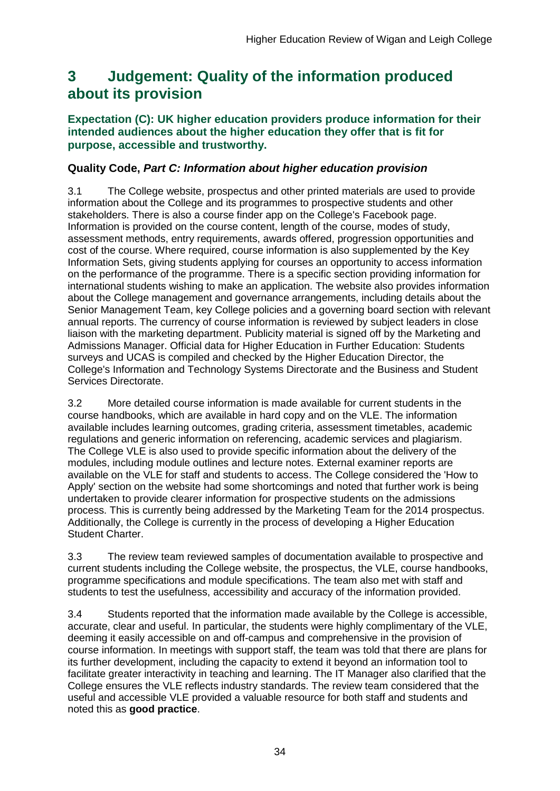## <span id="page-34-0"></span>**3 Judgement: Quality of the information produced about its provision**

### **Expectation (C): UK higher education providers produce information for their intended audiences about the higher education they offer that is fit for purpose, accessible and trustworthy.**

## **Quality Code,** *Part C: Information about higher education provision*

3.1 The College website, prospectus and other printed materials are used to provide information about the College and its programmes to prospective students and other stakeholders. There is also a course finder app on the College's Facebook page. Information is provided on the course content, length of the course, modes of study, assessment methods, entry requirements, awards offered, progression opportunities and cost of the course. Where required, course information is also supplemented by the Key Information Sets, giving students applying for courses an opportunity to access information on the performance of the programme. There is a specific section providing information for international students wishing to make an application. The website also provides information about the College management and governance arrangements, including details about the Senior Management Team, key College policies and a governing board section with relevant annual reports. The currency of course information is reviewed by subject leaders in close liaison with the marketing department. Publicity material is signed off by the Marketing and Admissions Manager. Official data for Higher Education in Further Education: Students surveys and UCAS is compiled and checked by the Higher Education Director, the College's Information and Technology Systems Directorate and the Business and Student Services Directorate.

3.2 More detailed course information is made available for current students in the course handbooks, which are available in hard copy and on the VLE. The information available includes learning outcomes, grading criteria, assessment timetables, academic regulations and generic information on referencing, academic services and plagiarism. The College VLE is also used to provide specific information about the delivery of the modules, including module outlines and lecture notes. External examiner reports are available on the VLE for staff and students to access. The College considered the 'How to Apply' section on the website had some shortcomings and noted that further work is being undertaken to provide clearer information for prospective students on the admissions process. This is currently being addressed by the Marketing Team for the 2014 prospectus. Additionally, the College is currently in the process of developing a Higher Education Student Charter.

3.3 The review team reviewed samples of documentation available to prospective and current students including the College website, the prospectus, the VLE, course handbooks, programme specifications and module specifications. The team also met with staff and students to test the usefulness, accessibility and accuracy of the information provided.

3.4 Students reported that the information made available by the College is accessible, accurate, clear and useful. In particular, the students were highly complimentary of the VLE, deeming it easily accessible on and off-campus and comprehensive in the provision of course information. In meetings with support staff, the team was told that there are plans for its further development, including the capacity to extend it beyond an information tool to facilitate greater interactivity in teaching and learning. The IT Manager also clarified that the College ensures the VLE reflects industry standards. The review team considered that the useful and accessible VLE provided a valuable resource for both staff and students and noted this as **good practice**.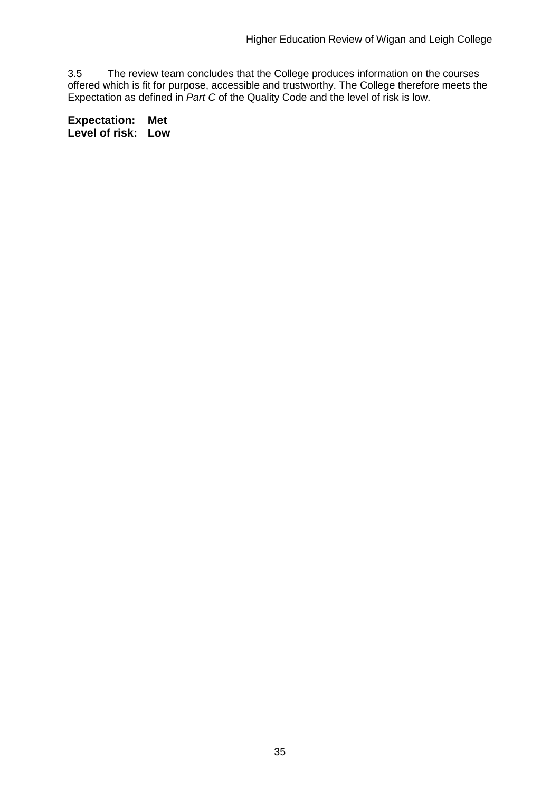3.5 The review team concludes that the College produces information on the courses offered which is fit for purpose, accessible and trustworthy. The College therefore meets the Expectation as defined in *Part C* of the Quality Code and the level of risk is low.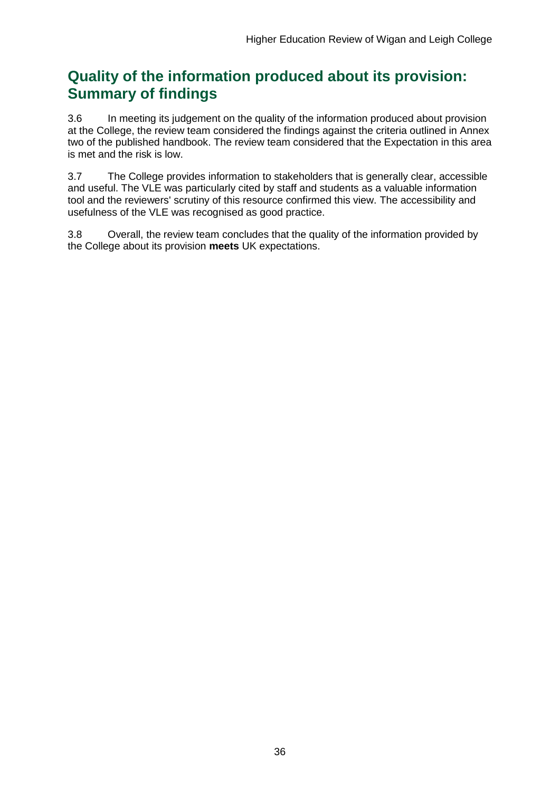## **Quality of the information produced about its provision: Summary of findings**

3.6 In meeting its judgement on the quality of the information produced about provision at the College, the review team considered the findings against the criteria outlined in Annex two of the published handbook. The review team considered that the Expectation in this area is met and the risk is low.

3.7 The College provides information to stakeholders that is generally clear, accessible and useful. The VLE was particularly cited by staff and students as a valuable information tool and the reviewers' scrutiny of this resource confirmed this view. The accessibility and usefulness of the VLE was recognised as good practice.

3.8 Overall, the review team concludes that the quality of the information provided by the College about its provision **meets** UK expectations.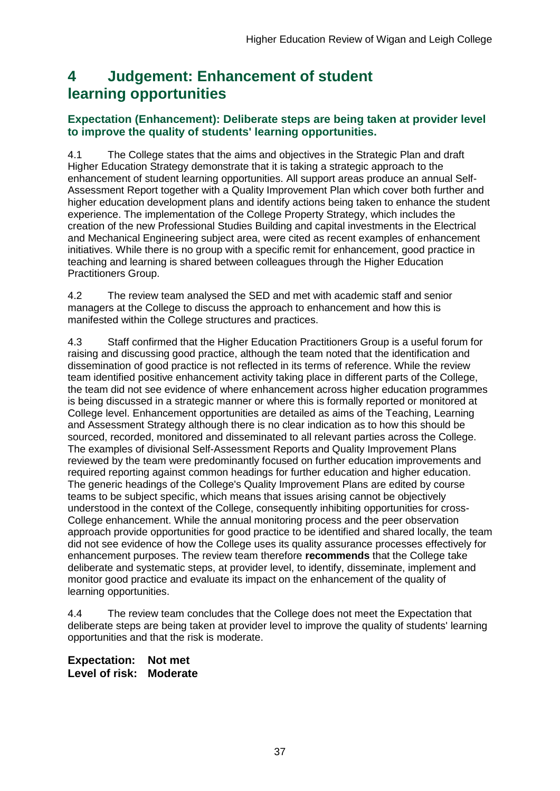## <span id="page-37-0"></span>**4 Judgement: Enhancement of student learning opportunities**

## **Expectation (Enhancement): Deliberate steps are being taken at provider level to improve the quality of students' learning opportunities.**

4.1 The College states that the aims and objectives in the Strategic Plan and draft Higher Education Strategy demonstrate that it is taking a strategic approach to the enhancement of student learning opportunities. All support areas produce an annual Self-Assessment Report together with a Quality Improvement Plan which cover both further and higher education development plans and identify actions being taken to enhance the student experience. The implementation of the College Property Strategy, which includes the creation of the new Professional Studies Building and capital investments in the Electrical and Mechanical Engineering subject area, were cited as recent examples of enhancement initiatives. While there is no group with a specific remit for enhancement, good practice in teaching and learning is shared between colleagues through the Higher Education Practitioners Group.

4.2 The review team analysed the SED and met with academic staff and senior managers at the College to discuss the approach to enhancement and how this is manifested within the College structures and practices.

4.3 Staff confirmed that the Higher Education Practitioners Group is a useful forum for raising and discussing good practice, although the team noted that the identification and dissemination of good practice is not reflected in its terms of reference. While the review team identified positive enhancement activity taking place in different parts of the College, the team did not see evidence of where enhancement across higher education programmes is being discussed in a strategic manner or where this is formally reported or monitored at College level. Enhancement opportunities are detailed as aims of the Teaching, Learning and Assessment Strategy although there is no clear indication as to how this should be sourced, recorded, monitored and disseminated to all relevant parties across the College. The examples of divisional Self-Assessment Reports and Quality Improvement Plans reviewed by the team were predominantly focused on further education improvements and required reporting against common headings for further education and higher education. The generic headings of the College's Quality Improvement Plans are edited by course teams to be subject specific, which means that issues arising cannot be objectively understood in the context of the College, consequently inhibiting opportunities for cross-College enhancement. While the annual monitoring process and the peer observation approach provide opportunities for good practice to be identified and shared locally, the team did not see evidence of how the College uses its quality assurance processes effectively for enhancement purposes. The review team therefore **recommends** that the College take deliberate and systematic steps, at provider level, to identify, disseminate, implement and monitor good practice and evaluate its impact on the enhancement of the quality of learning opportunities.

4.4 The review team concludes that the College does not meet the Expectation that deliberate steps are being taken at provider level to improve the quality of students' learning opportunities and that the risk is moderate.

**Expectation: Not met Level of risk: Moderate**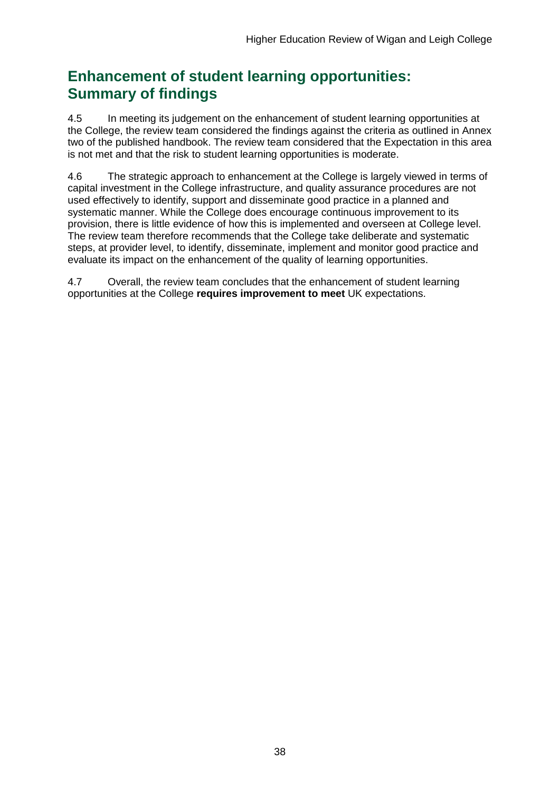## **Enhancement of student learning opportunities: Summary of findings**

4.5 In meeting its judgement on the enhancement of student learning opportunities at the College, the review team considered the findings against the criteria as outlined in Annex two of the published handbook. The review team considered that the Expectation in this area is not met and that the risk to student learning opportunities is moderate.

4.6 The strategic approach to enhancement at the College is largely viewed in terms of capital investment in the College infrastructure, and quality assurance procedures are not used effectively to identify, support and disseminate good practice in a planned and systematic manner. While the College does encourage continuous improvement to its provision, there is little evidence of how this is implemented and overseen at College level. The review team therefore recommends that the College take deliberate and systematic steps, at provider level, to identify, disseminate, implement and monitor good practice and evaluate its impact on the enhancement of the quality of learning opportunities.

4.7 Overall, the review team concludes that the enhancement of student learning opportunities at the College **requires improvement to meet** UK expectations.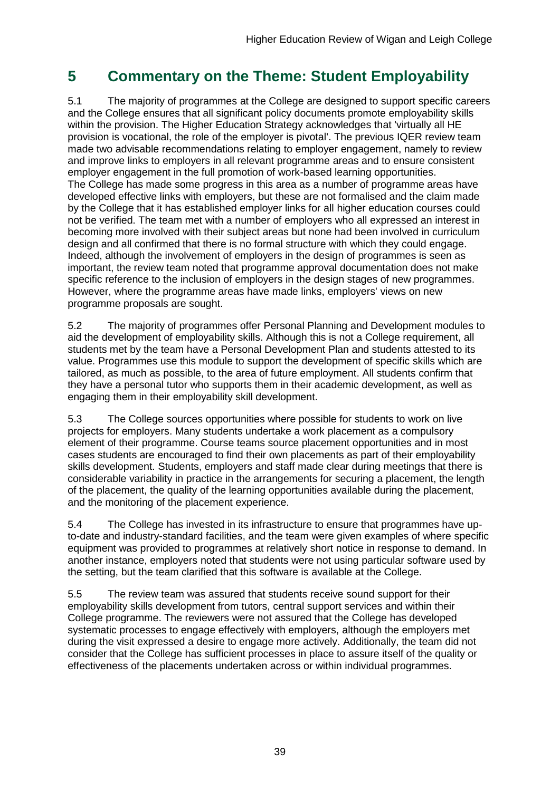## <span id="page-39-0"></span>**5 Commentary on the Theme: Student Employability**

5.1 The majority of programmes at the College are designed to support specific careers and the College ensures that all significant policy documents promote employability skills within the provision. The Higher Education Strategy acknowledges that 'virtually all HE provision is vocational, the role of the employer is pivotal'. The previous IQER review team made two advisable recommendations relating to employer engagement, namely to review and improve links to employers in all relevant programme areas and to ensure consistent employer engagement in the full promotion of work-based learning opportunities. The College has made some progress in this area as a number of programme areas have developed effective links with employers, but these are not formalised and the claim made by the College that it has established employer links for all higher education courses could not be verified. The team met with a number of employers who all expressed an interest in becoming more involved with their subject areas but none had been involved in curriculum design and all confirmed that there is no formal structure with which they could engage. Indeed, although the involvement of employers in the design of programmes is seen as important, the review team noted that programme approval documentation does not make specific reference to the inclusion of employers in the design stages of new programmes. However, where the programme areas have made links, employers' views on new programme proposals are sought.

5.2 The majority of programmes offer Personal Planning and Development modules to aid the development of employability skills. Although this is not a College requirement, all students met by the team have a Personal Development Plan and students attested to its value. Programmes use this module to support the development of specific skills which are tailored, as much as possible, to the area of future employment. All students confirm that they have a personal tutor who supports them in their academic development, as well as engaging them in their employability skill development.

5.3 The College sources opportunities where possible for students to work on live projects for employers. Many students undertake a work placement as a compulsory element of their programme. Course teams source placement opportunities and in most cases students are encouraged to find their own placements as part of their employability skills development. Students, employers and staff made clear during meetings that there is considerable variability in practice in the arrangements for securing a placement, the length of the placement, the quality of the learning opportunities available during the placement, and the monitoring of the placement experience.

5.4 The College has invested in its infrastructure to ensure that programmes have upto-date and industry-standard facilities, and the team were given examples of where specific equipment was provided to programmes at relatively short notice in response to demand. In another instance, employers noted that students were not using particular software used by the setting, but the team clarified that this software is available at the College.

5.5 The review team was assured that students receive sound support for their employability skills development from tutors, central support services and within their College programme. The reviewers were not assured that the College has developed systematic processes to engage effectively with employers, although the employers met during the visit expressed a desire to engage more actively. Additionally, the team did not consider that the College has sufficient processes in place to assure itself of the quality or effectiveness of the placements undertaken across or within individual programmes.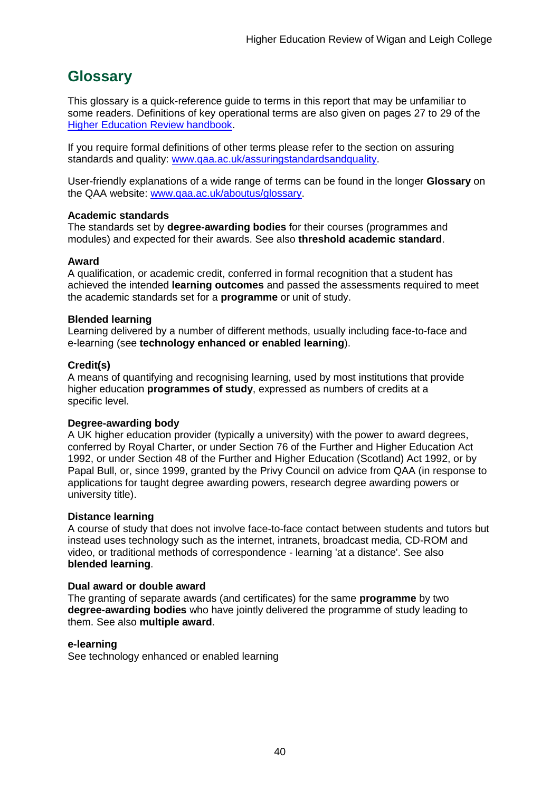## <span id="page-40-0"></span>**Glossary**

This glossary is a quick-reference guide to terms in this report that may be unfamiliar to some readers. Definitions of key operational terms are also given on pages 27 to 29 of the [Higher Education Review handbook.](http://www.qaa.ac.uk/Publications/InformationAndGuidance/Pages/HER-handbook-13.aspx)

If you require formal definitions of other terms please refer to the section on assuring standards and quality: [www.qaa.ac.uk/assuringstandardsandquality.](http://www.qaa.ac.uk/assuringstandardsandquality/pages/default.aspx)

User-friendly explanations of a wide range of terms can be found in the longer **Glossary** on the QAA website: [www.qaa.ac.uk/aboutus/glossary.](http://www.qaa.ac.uk/aboutus/glossary/pages/default.aspx)

### **Academic standards**

The standards set by **degree-awarding bodies** for their courses (programmes and modules) and expected for their awards. See also **threshold academic standard**.

#### **Award**

A qualification, or academic credit, conferred in formal recognition that a student has achieved the intended **learning outcomes** and passed the assessments required to meet the academic standards set for a **programme** or unit of study.

#### **Blended learning**

Learning delivered by a number of different methods, usually including face-to-face and e-learning (see **[technology enhanced or enabled learning](http://www.qaa.ac.uk/AboutUs/glossary/Pages/glossary-t.aspx#t1)**).

#### **Credit(s)**

A means of quantifying and recognising learning, used by most institutions that provide higher education **programmes of study**, expressed as numbers of credits at a specific level.

### **Degree-awarding body**

A UK [higher education provider](http://newlive.qaa.ac.uk/AboutUs/glossary/Pages/glossary-h.aspx#h2.1) (typically a [university\)](http://newlive.qaa.ac.uk/AboutUs/glossary/Pages/glossary-u-z.aspx#u4) with the power to award degrees, conferred by Royal Charter, or under Section 76 of the Further and Higher Education Act 1992, or under Section 48 of the Further and Higher Education (Scotland) Act 1992, or by Papal Bull, or, since 1999, granted by the Privy Council on advice from QAA (in response to applications for [taught degree awarding powers, research degree awarding powers or](http://newlive.qaa.ac.uk/AboutUs/DAP/Pages/default.aspx)  [university title\)](http://newlive.qaa.ac.uk/AboutUs/DAP/Pages/default.aspx).

### **Distance learning**

A course of study that does not involve face-to-face contact between students and tutors but instead uses technology such as the internet, intranets, broadcast media, CD-ROM and video, or traditional methods of correspondence - learning 'at a distance'. See also **blended learning**.

#### **Dual award or double award**

The granting of separate awards (and certificates) for the same **programme** by two **degree-awarding bodies** who have jointly delivered the programme of study leading to them. See also **multiple award**.

#### **e-learning**

See technology enhanced or enabled learning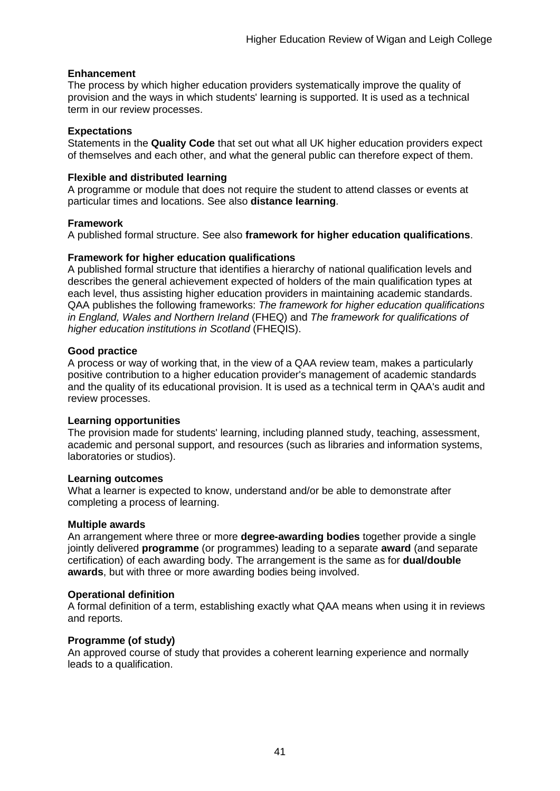### **Enhancement**

The process by which [higher education providers](http://www.qaa.ac.uk/AboutUs/glossary/Pages/glossary-h.aspx#h2.1) systematically improve the quality of provision and the ways in which students' learning is supported. It is used as a technical term in our review processes.

### **Expectations**

Statements in the **Quality Code** that set out what all UK [higher education providers](http://newlive.qaa.ac.uk/AboutUs/glossary/Pages/glossary-h.aspx#h2.1) expect of themselves and each other, and what the general public can therefore expect of them.

### **Flexible and distributed learning**

A [programme](http://newlive.qaa.ac.uk/AboutUs/glossary/Pages/glossary-p.aspx#p12) or [module](http://newlive.qaa.ac.uk/AboutUs/glossary/Pages/glossary-m-o.aspx#m6) that does not require the student to attend classes or events at particular times and locations. See also **distance learning**.

#### **Framework**

A published formal structure. See also **framework for higher education qualifications**.

#### **Framework for higher education qualifications**

A published formal structure that identifies a hierarchy of national qualification levels and describes the general achievement expected of holders of the main qualification types at each level, thus assisting higher education providers in maintaining academic standards. QAA publishes the following frameworks: *The framework for higher education qualifications in England, Wales and Northern Ireland* (FHEQ) and *The framework for qualifications of higher education institutions in Scotland* (FHEQIS).

### **Good practice**

A process or way of working that, in the view of a QAA review team, makes a particularly positive contribution to a higher education provider's management of academic standards and the quality of its educational provision. It is used as a technical term in QAA's audit and review processes.

### **Learning opportunities**

The provision made for students' learning, including planned study, teaching, assessment, academic and personal support, and resources (such as libraries and information systems, laboratories or studios).

#### **Learning outcomes**

What a learner is expected to know, understand and/or be able to demonstrate after completing a process of learning.

#### **Multiple awards**

An arrangement where three or more **degree-awarding bodies** together provide a single jointly delivered **programme** (or programmes) leading to a separate **award** (and separate certification) of each awarding body. The arrangement is the same as for **dual/double awards**, but with three or more awarding bodies being involved.

#### **Operational definition**

A formal definition of a term, establishing exactly what QAA means when using it in reviews and reports.

### **Programme (of study)**

An approved course of study that provides a coherent learning experience and normally leads to a qualification.